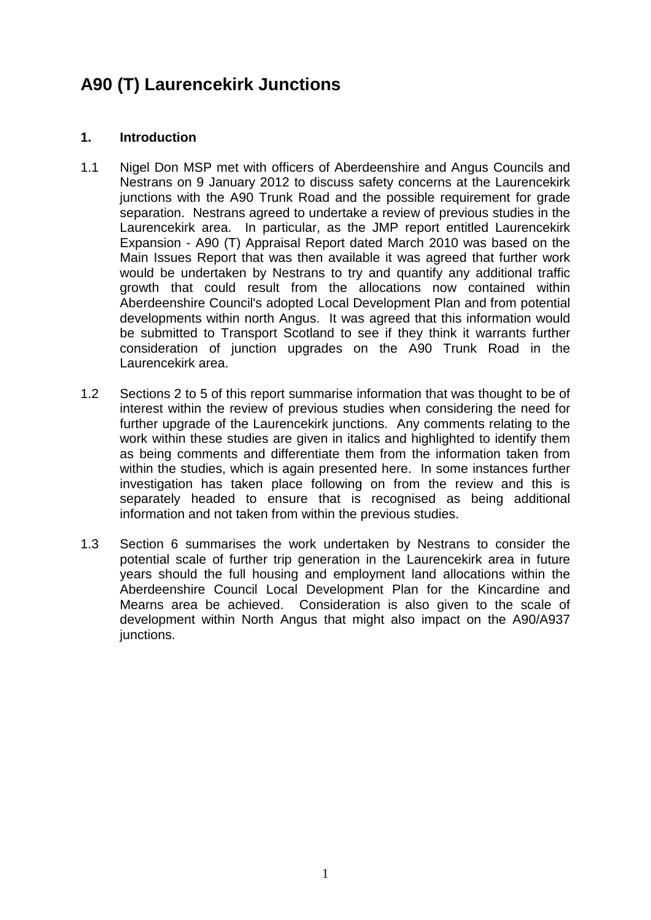# **A90 (T) Laurencekirk Junctions**

# **1. Introduction**

- 1.1 Nigel Don MSP met with officers of Aberdeenshire and Angus Councils and Nestrans on 9 January 2012 to discuss safety concerns at the Laurencekirk junctions with the A90 Trunk Road and the possible requirement for grade separation. Nestrans agreed to undertake a review of previous studies in the Laurencekirk area. In particular, as the JMP report entitled Laurencekirk Expansion - A90 (T) Appraisal Report dated March 2010 was based on the Main Issues Report that was then available it was agreed that further work would be undertaken by Nestrans to try and quantify any additional traffic growth that could result from the allocations now contained within Aberdeenshire Council's adopted Local Development Plan and from potential developments within north Angus. It was agreed that this information would be submitted to Transport Scotland to see if they think it warrants further consideration of junction upgrades on the A90 Trunk Road in the Laurencekirk area.
- 1.2 Sections 2 to 5 of this report summarise information that was thought to be of interest within the review of previous studies when considering the need for further upgrade of the Laurencekirk junctions. Any comments relating to the work within these studies are given in italics and highlighted to identify them as being comments and differentiate them from the information taken from within the studies, which is again presented here. In some instances further investigation has taken place following on from the review and this is separately headed to ensure that is recognised as being additional information and not taken from within the previous studies.
- 1.3 Section 6 summarises the work undertaken by Nestrans to consider the potential scale of further trip generation in the Laurencekirk area in future years should the full housing and employment land allocations within the Aberdeenshire Council Local Development Plan for the Kincardine and Mearns area be achieved. Consideration is also given to the scale of development within North Angus that might also impact on the A90/A937 junctions.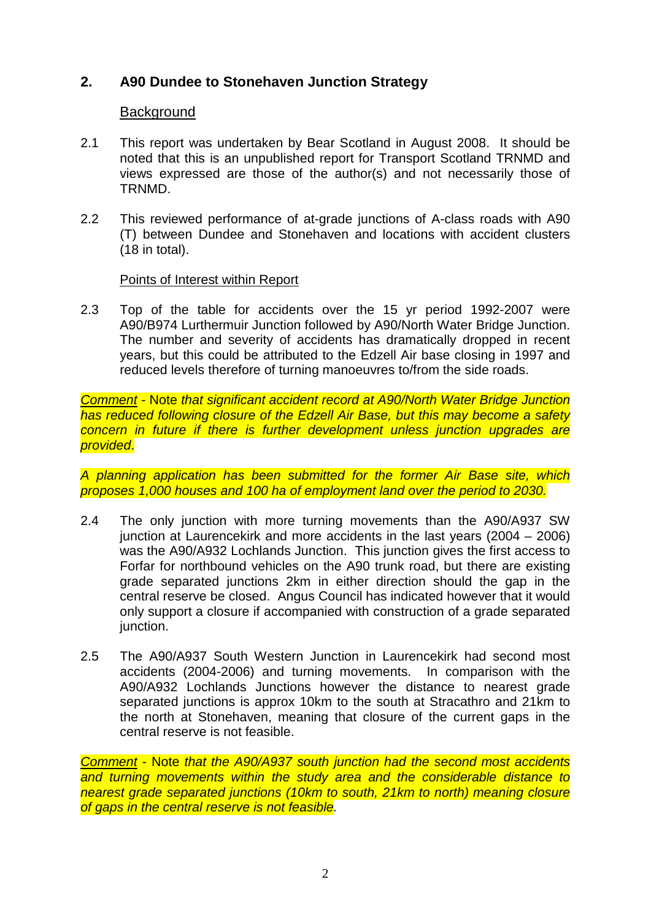# **2. A90 Dundee to Stonehaven Junction Strategy**

# **Background**

- 2.1 This report was undertaken by Bear Scotland in August 2008. It should be noted that this is an unpublished report for Transport Scotland TRNMD and views expressed are those of the author(s) and not necessarily those of TRNMD.
- 2.2 This reviewed performance of at-grade junctions of A-class roads with A90 (T) between Dundee and Stonehaven and locations with accident clusters (18 in total).

# Points of Interest within Report

2.3 Top of the table for accidents over the 15 yr period 1992-2007 were A90/B974 Lurthermuir Junction followed by A90/North Water Bridge Junction. The number and severity of accidents has dramatically dropped in recent years, but this could be attributed to the Edzell Air base closing in 1997 and reduced levels therefore of turning manoeuvres to/from the side roads.

*Comment* - Note *that significant accident record at A90/North Water Bridge Junction has reduced following closure of the Edzell Air Base, but this may become a safety concern in future if there is further development unless junction upgrades are provided*.

*A planning application has been submitted for the former Air Base site, which proposes 1,000 houses and 100 ha of employment land over the period to 2030.*

- 2.4 The only junction with more turning movements than the A90/A937 SW junction at Laurencekirk and more accidents in the last years (2004 – 2006) was the A90/A932 Lochlands Junction. This junction gives the first access to Forfar for northbound vehicles on the A90 trunk road, but there are existing grade separated junctions 2km in either direction should the gap in the central reserve be closed. Angus Council has indicated however that it would only support a closure if accompanied with construction of a grade separated junction.
- 2.5 The A90/A937 South Western Junction in Laurencekirk had second most accidents (2004-2006) and turning movements. In comparison with the A90/A932 Lochlands Junctions however the distance to nearest grade separated junctions is approx 10km to the south at Stracathro and 21km to the north at Stonehaven, meaning that closure of the current gaps in the central reserve is not feasible.

*Comment* - Note *that the A90/A937 south junction had the second most accidents and turning movements within the study area and the considerable distance to nearest grade separated junctions (10km to south, 21km to north) meaning closure of gaps in the central reserve is not feasible.*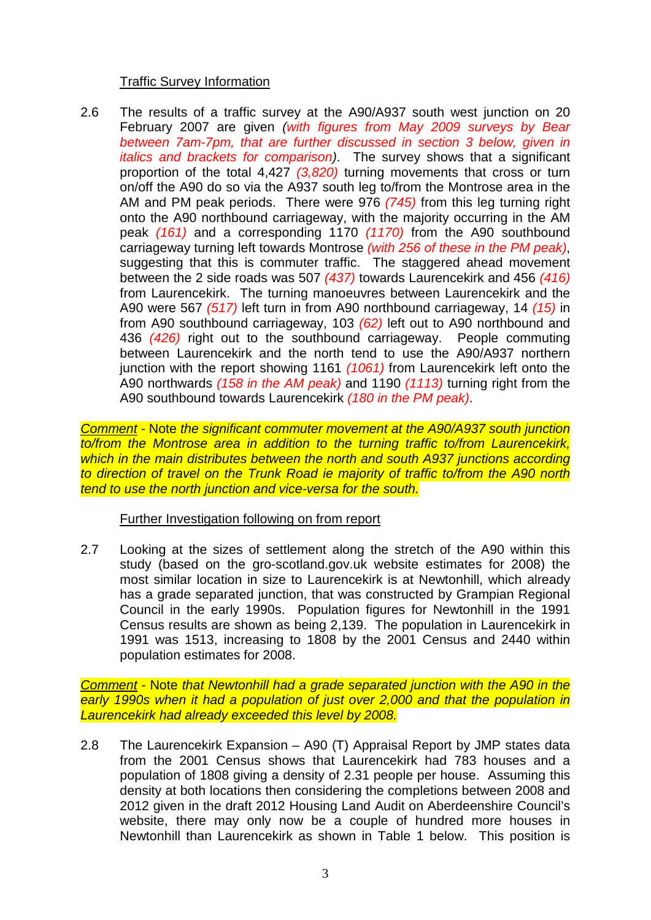# Traffic Survey Information

2.6 The results of a traffic survey at the A90/A937 south west junction on 20 February 2007 are given *(with figures from May 2009 surveys by Bear between 7am-7pm, that are further discussed in section 3 below, given in italics and brackets for comparison)*. The survey shows that a significant proportion of the total 4,427 *(3,820)* turning movements that cross or turn on/off the A90 do so via the A937 south leg to/from the Montrose area in the AM and PM peak periods. There were 976 *(745)* from this leg turning right onto the A90 northbound carriageway, with the majority occurring in the AM peak *(161)* and a corresponding 1170 *(1170)* from the A90 southbound carriageway turning left towards Montrose *(with 256 of these in the PM peak)*, suggesting that this is commuter traffic. The staggered ahead movement between the 2 side roads was 507 *(437)* towards Laurencekirk and 456 *(416)* from Laurencekirk. The turning manoeuvres between Laurencekirk and the A90 were 567 *(517)* left turn in from A90 northbound carriageway, 14 *(15)* in from A90 southbound carriageway, 103 *(62)* left out to A90 northbound and 436 *(426)* right out to the southbound carriageway. People commuting between Laurencekirk and the north tend to use the A90/A937 northern junction with the report showing 1161 *(1061)* from Laurencekirk left onto the A90 northwards *(158 in the AM peak)* and 1190 *(1113)* turning right from the A90 southbound towards Laurencekirk *(180 in the PM peak)*.

*Comment* - Note *the significant commuter movement at the A90/A937 south junction to/from the Montrose area in addition to the turning traffic to/from Laurencekirk, which in the main distributes between the north and south A937 junctions according to direction of travel on the Trunk Road ie majority of traffic to/from the A90 north tend to use the north junction and vice-versa for the south.*

# Further Investigation following on from report

2.7 Looking at the sizes of settlement along the stretch of the A90 within this study (based on the gro-scotland.gov.uk website estimates for 2008) the most similar location in size to Laurencekirk is at Newtonhill, which already has a grade separated junction, that was constructed by Grampian Regional Council in the early 1990s. Population figures for Newtonhill in the 1991 Census results are shown as being 2,139. The population in Laurencekirk in 1991 was 1513, increasing to 1808 by the 2001 Census and 2440 within population estimates for 2008.

*Comment* - Note *that Newtonhill had a grade separated junction with the A90 in the early 1990s when it had a population of just over 2,000 and that the population in Laurencekirk had already exceeded this level by 2008.* 

2.8 The Laurencekirk Expansion – A90 (T) Appraisal Report by JMP states data from the 2001 Census shows that Laurencekirk had 783 houses and a population of 1808 giving a density of 2.31 people per house. Assuming this density at both locations then considering the completions between 2008 and 2012 given in the draft 2012 Housing Land Audit on Aberdeenshire Council's website, there may only now be a couple of hundred more houses in Newtonhill than Laurencekirk as shown in Table 1 below. This position is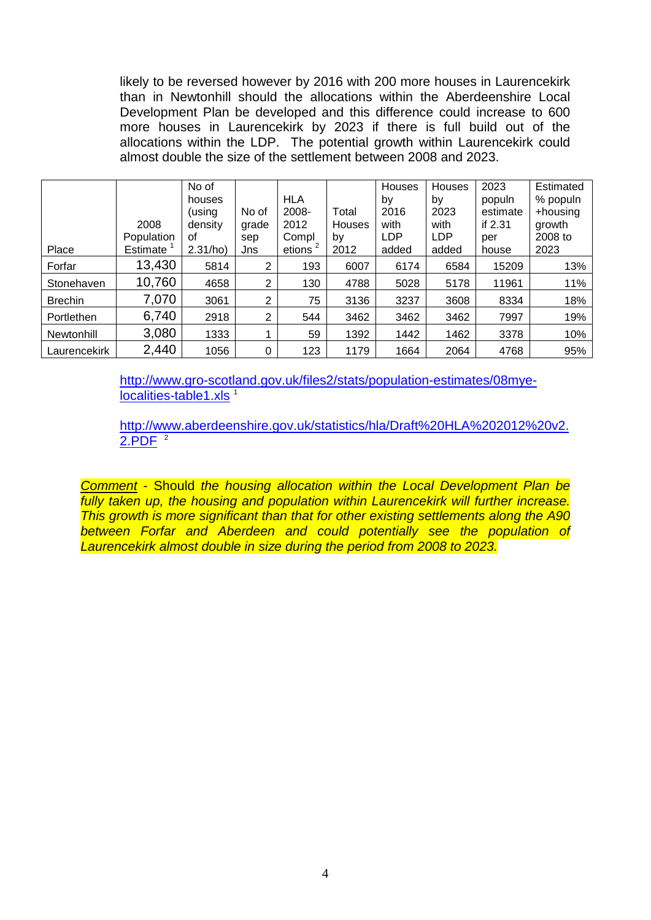likely to be reversed however by 2016 with 200 more houses in Laurencekirk than in Newtonhill should the allocations within the Aberdeenshire Local Development Plan be developed and this difference could increase to 600 more houses in Laurencekirk by 2023 if there is full build out of the allocations within the LDP. The potential growth within Laurencekirk could almost double the size of the settlement between 2008 and 2023.

|                |            | No of    |                |            |        | Houses     | Houses     | 2023     | Estimated |
|----------------|------------|----------|----------------|------------|--------|------------|------------|----------|-----------|
|                |            | houses   |                | <b>HLA</b> |        | by         | by         | populn   | % populn  |
|                |            | (using   | No of          | 2008-      | Total  | 2016       | 2023       | estimate | +housing  |
|                | 2008       | density  | grade          | 2012       | Houses | with       | with       | if 2.31  | growth    |
|                | Population | οf       | sep            | Compl      | by     | <b>LDP</b> | <b>LDP</b> | per      | 2008 to   |
| Place          | Estimate   | 2.31/ho) | Jns            | etions     | 2012   | added      | added      | house    | 2023      |
| Forfar         | 13,430     | 5814     | $\overline{2}$ | 193        | 6007   | 6174       | 6584       | 15209    | 13%       |
| Stonehaven     | 10,760     | 4658     | $\overline{2}$ | 130        | 4788   | 5028       | 5178       | 11961    | 11%       |
| <b>Brechin</b> | 7,070      | 3061     | $\overline{2}$ | 75         | 3136   | 3237       | 3608       | 8334     | 18%       |
| Portlethen     | 6,740      | 2918     | 2              | 544        | 3462   | 3462       | 3462       | 7997     | 19%       |
| Newtonhill     | 3,080      | 1333     |                | 59         | 1392   | 1442       | 1462       | 3378     | 10%       |
| Laurencekirk   | 2,440      | 1056     | 0              | 123        | 1179   | 1664       | 2064       | 4768     | 95%       |

[http://www.gro-scotland.gov.uk/files2/stats/population-estimates/08mye](http://www.gro-scotland.gov.uk/files2/stats/population-estimates/08mye-localities-table1.xls)[localities-table1.xls](http://www.gro-scotland.gov.uk/files2/stats/population-estimates/08mye-localities-table1.xls)<sup>1</sup>

[http://www.aberdeenshire.gov.uk/statistics/hla/Draft%20HLA%202012%20v2.](http://www.aberdeenshire.gov.uk/statistics/hla/Draft%20HLA%202012%20v2.2.PDF)  $2.PDF<sup>2</sup>$ 

*Comment* - Should *the housing allocation within the Local Development Plan be fully taken up, the housing and population within Laurencekirk will further increase. This growth is more significant than that for other existing settlements along the A90 between Forfar and Aberdeen and could potentially see the population of Laurencekirk almost double in size during the period from 2008 to 2023.*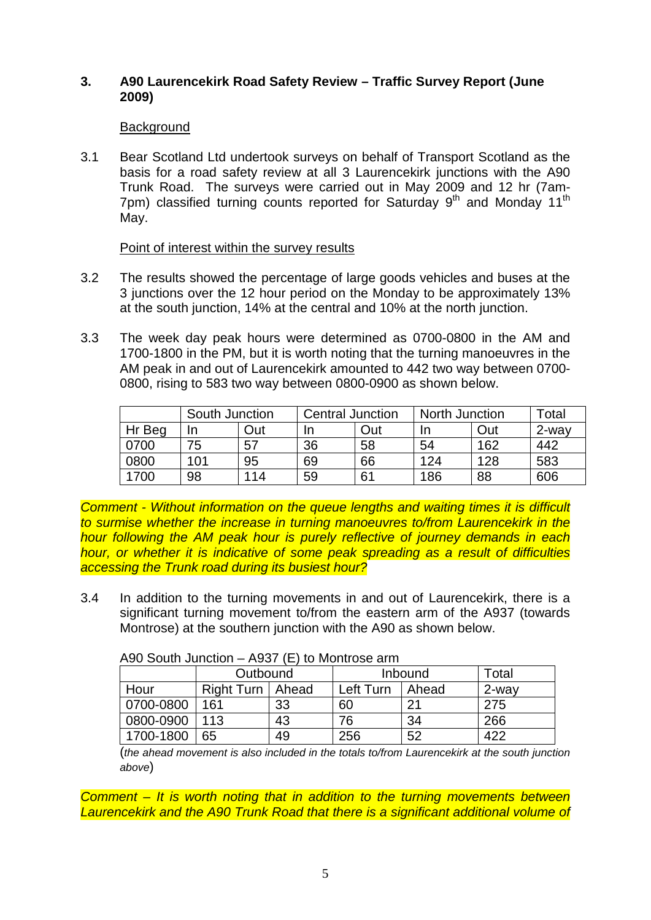# **3. A90 Laurencekirk Road Safety Review – Traffic Survey Report (June 2009)**

# **Background**

3.1 Bear Scotland Ltd undertook surveys on behalf of Transport Scotland as the basis for a road safety review at all 3 Laurencekirk junctions with the A90 Trunk Road. The surveys were carried out in May 2009 and 12 hr (7am-7pm) classified turning counts reported for Saturday  $9<sup>th</sup>$  and Monday 11<sup>th</sup> May.

# Point of interest within the survey results

- 3.2 The results showed the percentage of large goods vehicles and buses at the 3 junctions over the 12 hour period on the Monday to be approximately 13% at the south junction, 14% at the central and 10% at the north junction.
- 3.3 The week day peak hours were determined as 0700-0800 in the AM and 1700-1800 in the PM, but it is worth noting that the turning manoeuvres in the AM peak in and out of Laurencekirk amounted to 442 two way between 0700- 0800, rising to 583 two way between 0800-0900 as shown below.

|        | South Junction |     | <b>Central Junction</b> |     | North Junction |     | ⊺otal    |
|--------|----------------|-----|-------------------------|-----|----------------|-----|----------|
| Hr Beg | In             | )ut | In                      | Out | In             | Out | $2$ -way |
| 0700   | 75             | 57  | 36                      | 58  | 54             | 162 | 442      |
| 0800   | 101            | 95  | 69                      | 66  | 124            | 128 | 583      |
| 1700   | 98             | 114 | 59                      | 61  | 186            | 88  | 606      |

*Comment - Without information on the queue lengths and waiting times it is difficult to surmise whether the increase in turning manoeuvres to/from Laurencekirk in the hour following the AM peak hour is purely reflective of journey demands in each hour, or whether it is indicative of some peak spreading as a result of difficulties accessing the Trunk road during its busiest hour?*

3.4 In addition to the turning movements in and out of Laurencekirk, there is a significant turning movement to/from the eastern arm of the A937 (towards Montrose) at the southern junction with the A90 as shown below.

| $1.99$ OOULL JULION I<br>$\sim$ 100 $\sim$ 10 $\sim$ 10 $\sim$ 10 $\sim$ 10 $\sim$ 00 $\sim$ 0.1111 |                    |    |           |       |       |  |
|-----------------------------------------------------------------------------------------------------|--------------------|----|-----------|-------|-------|--|
|                                                                                                     | Outbound           |    | Inbound   | Total |       |  |
| Hour                                                                                                | Right Turn   Ahead |    | Left Turn | Ahead | 2-way |  |
| 0700-0800                                                                                           | 161                | 33 | 60        | 21    | 275   |  |
| $ 0800 - 0900 $                                                                                     | 113                | 43 | 76        | 34    | 266   |  |
| 1700-1800                                                                                           | 65                 | 49 | 256       | 52    | 422   |  |

A90 South Junction – A937 (E) to Montrose arm

(*the ahead movement is also included in the totals to/from Laurencekirk at the south junction above*)

*Comment – It is worth noting that in addition to the turning movements between Laurencekirk and the A90 Trunk Road that there is a significant additional volume of*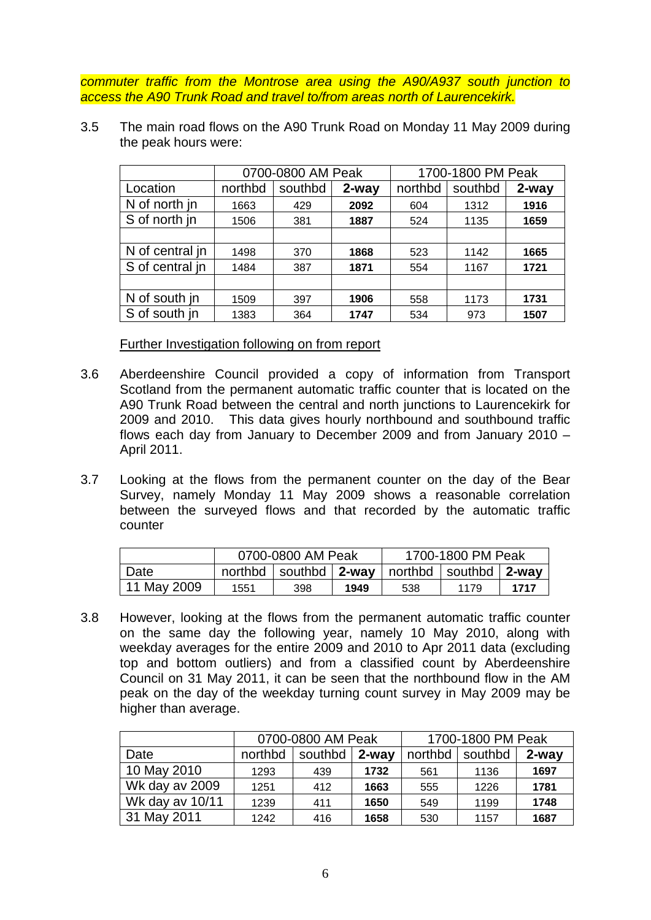*commuter traffic from the Montrose area using the A90/A937 south junction to access the A90 Trunk Road and travel to/from areas north of Laurencekirk.*

3.5 The main road flows on the A90 Trunk Road on Monday 11 May 2009 during the peak hours were:

|                 |         | 0700-0800 AM Peak |       | 1700-1800 PM Peak |         |       |
|-----------------|---------|-------------------|-------|-------------------|---------|-------|
| Location        | northbd | southbd           | 2-way | northbd           | southbd | 2-way |
| N of north in   | 1663    | 429               | 2092  | 604               | 1312    | 1916  |
| S of north in   | 1506    | 381               | 1887  | 524               | 1135    | 1659  |
|                 |         |                   |       |                   |         |       |
| N of central in | 1498    | 370               | 1868  | 523               | 1142    | 1665  |
| S of central in | 1484    | 387               | 1871  | 554               | 1167    | 1721  |
|                 |         |                   |       |                   |         |       |
| N of south in   | 1509    | 397               | 1906  | 558               | 1173    | 1731  |
| S of south in   | 1383    | 364               | 1747  | 534               | 973     | 1507  |

Further Investigation following on from report

- 3.6 Aberdeenshire Council provided a copy of information from Transport Scotland from the permanent automatic traffic counter that is located on the A90 Trunk Road between the central and north junctions to Laurencekirk for 2009 and 2010. This data gives hourly northbound and southbound traffic flows each day from January to December 2009 and from January 2010 – April 2011.
- 3.7 Looking at the flows from the permanent counter on the day of the Bear Survey, namely Monday 11 May 2009 shows a reasonable correlation between the surveyed flows and that recorded by the automatic traffic counter

|             | 0700-0800 AM Peak                                                                   |  |  | 1700-1800 PM Peak |      |      |
|-------------|-------------------------------------------------------------------------------------|--|--|-------------------|------|------|
| Date        | northbd $\vert$ southbd $\vert$ 2-way $\vert$ northbd $\vert$ southbd $\vert$ 2-way |  |  |                   |      |      |
| 11 May 2009 | 1949<br>398<br>1551                                                                 |  |  | 538               | 1179 | 1717 |

3.8 However, looking at the flows from the permanent automatic traffic counter on the same day the following year, namely 10 May 2010, along with weekday averages for the entire 2009 and 2010 to Apr 2011 data (excluding top and bottom outliers) and from a classified count by Aberdeenshire Council on 31 May 2011, it can be seen that the northbound flow in the AM peak on the day of the weekday turning count survey in May 2009 may be higher than average.

|                 | 0700-0800 AM Peak |         |          | 1700-1800 PM Peak |         |       |
|-----------------|-------------------|---------|----------|-------------------|---------|-------|
| Date            | northbd           | southbd | $2$ -way | northbd           | southbd | 2-way |
| 10 May 2010     | 1293              | 439     | 1732     | 561               | 1136    | 1697  |
| Wk day av 2009  | 1251              | 412     | 1663     | 555               | 1226    | 1781  |
| Wk day av 10/11 | 1239              | 411     | 1650     | 549               | 1199    | 1748  |
| 31 May 2011     | 1242              | 416     | 1658     | 530               | 1157    | 1687  |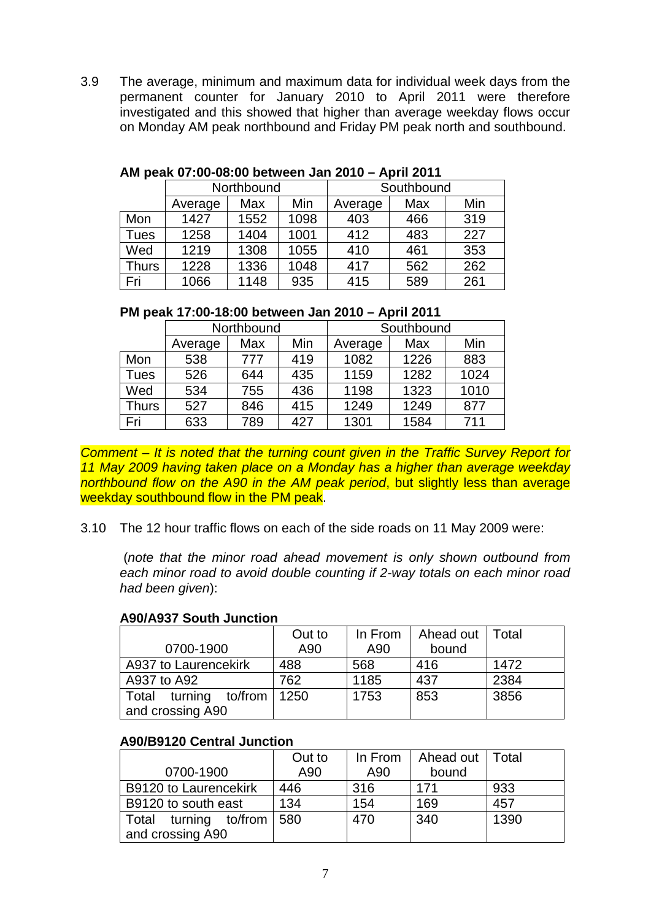3.9 The average, minimum and maximum data for individual week days from the permanent counter for January 2010 to April 2011 were therefore investigated and this showed that higher than average weekday flows occur on Monday AM peak northbound and Friday PM peak north and southbound.

|       |         | Northbound |      | Southbound |     |     |  |
|-------|---------|------------|------|------------|-----|-----|--|
|       | Average | Max        | Min  | Average    | Max | Min |  |
| Mon   | 1427    | 1552       | 1098 | 403        | 466 | 319 |  |
| Tues  | 1258    | 1404       | 1001 | 412        | 483 | 227 |  |
| Wed   | 1219    | 1308       | 1055 | 410        | 461 | 353 |  |
| Thurs | 1228    | 1336       | 1048 | 417        | 562 | 262 |  |
| Fri   | 1066    | 1148       | 935  | 415        | 589 | 261 |  |

## **AM peak 07:00-08:00 between Jan 2010 – April 2011**

# **PM peak 17:00-18:00 between Jan 2010 – April 2011**

|       |         | Northbound |     | Southbound |      |      |  |
|-------|---------|------------|-----|------------|------|------|--|
|       | Average | Max        | Min | Average    | Max  | Min  |  |
| Mon   | 538     | 777        | 419 | 1082       | 1226 | 883  |  |
| Tues  | 526     | 644        | 435 | 1159       | 1282 | 1024 |  |
| Wed   | 534     | 755        | 436 | 1198       | 1323 | 1010 |  |
| Thurs | 527     | 846        | 415 | 1249       | 1249 | 877  |  |
| Fri   | 633     | 789        | 427 | 1301       | 1584 | 711  |  |

*Comment – It is noted that the turning count given in the Traffic Survey Report for 11 May 2009 having taken place on a Monday has a higher than average weekday northbound flow on the A90 in the AM peak period*, but slightly less than average weekday southbound flow in the PM peak.

# 3.10 The 12 hour traffic flows on each of the side roads on 11 May 2009 were:

(*note that the minor road ahead movement is only shown outbound from each minor road to avoid double counting if 2-way totals on each minor road had been given*):

#### **A90/A937 South Junction**

|                       | Out to | In From | Ahead out   Total |      |
|-----------------------|--------|---------|-------------------|------|
| 0700-1900             | A90    | A90     | bound             |      |
| A937 to Laurencekirk  | 488    | 568     | 416               | 1472 |
| A937 to A92           | 762    | 1185    | 437               | 2384 |
| Total turning to/from | 1250   | 1753    | 853               | 3856 |
| and crossing A90      |        |         |                   |      |

#### **A90/B9120 Central Junction**

|                              | Out to | In From | Ahead out   Total |      |
|------------------------------|--------|---------|-------------------|------|
| 0700-1900                    | A90    | A90     | bound             |      |
| <b>B9120 to Laurencekirk</b> | 446    | 316     | 171               | 933  |
| B9120 to south east          | 134    | 154     | 169               | 457  |
| Total turning to/from        | 580    | 470     | 340               | 1390 |
| and crossing A90             |        |         |                   |      |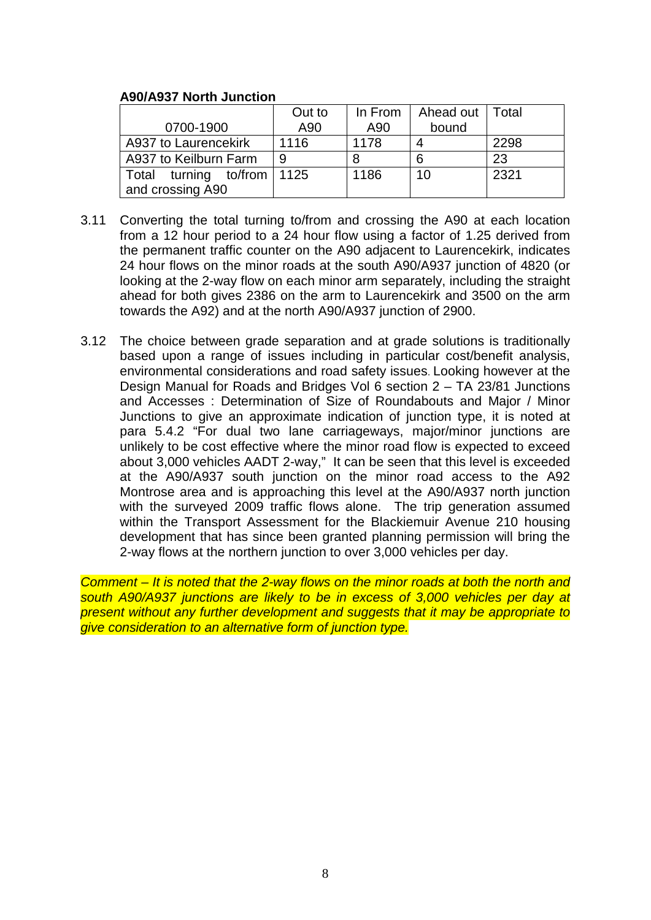# **A90/A937 North Junction**

|                                                | Out to | In From | Ahead out   Total |      |
|------------------------------------------------|--------|---------|-------------------|------|
| 0700-1900                                      | A90    | A90     | bound             |      |
| A937 to Laurencekirk                           | 1116   | 1178    |                   | 2298 |
| A937 to Keilburn Farm                          | 9      |         | 6                 | 23   |
| Total turning to/from 1125<br>and crossing A90 |        | 1186    | 10                | 2321 |

- 3.11 Converting the total turning to/from and crossing the A90 at each location from a 12 hour period to a 24 hour flow using a factor of 1.25 derived from the permanent traffic counter on the A90 adjacent to Laurencekirk, indicates 24 hour flows on the minor roads at the south A90/A937 junction of 4820 (or looking at the 2-way flow on each minor arm separately, including the straight ahead for both gives 2386 on the arm to Laurencekirk and 3500 on the arm towards the A92) and at the north A90/A937 junction of 2900.
- 3.12 The choice between grade separation and at grade solutions is traditionally based upon a range of issues including in particular cost/benefit analysis, environmental considerations and road safety issues. Looking however at the Design Manual for Roads and Bridges Vol 6 section 2 – TA 23/81 Junctions and Accesses : Determination of Size of Roundabouts and Major / Minor Junctions to give an approximate indication of junction type, it is noted at para 5.4.2 "For dual two lane carriageways, major/minor junctions are unlikely to be cost effective where the minor road flow is expected to exceed about 3,000 vehicles AADT 2-way," It can be seen that this level is exceeded at the A90/A937 south junction on the minor road access to the A92 Montrose area and is approaching this level at the A90/A937 north junction with the surveyed 2009 traffic flows alone. The trip generation assumed within the Transport Assessment for the Blackiemuir Avenue 210 housing development that has since been granted planning permission will bring the 2-way flows at the northern junction to over 3,000 vehicles per day.

*Comment – It is noted that the 2-way flows on the minor roads at both the north and south A90/A937 junctions are likely to be in excess of 3,000 vehicles per day at present without any further development and suggests that it may be appropriate to give consideration to an alternative form of junction type.*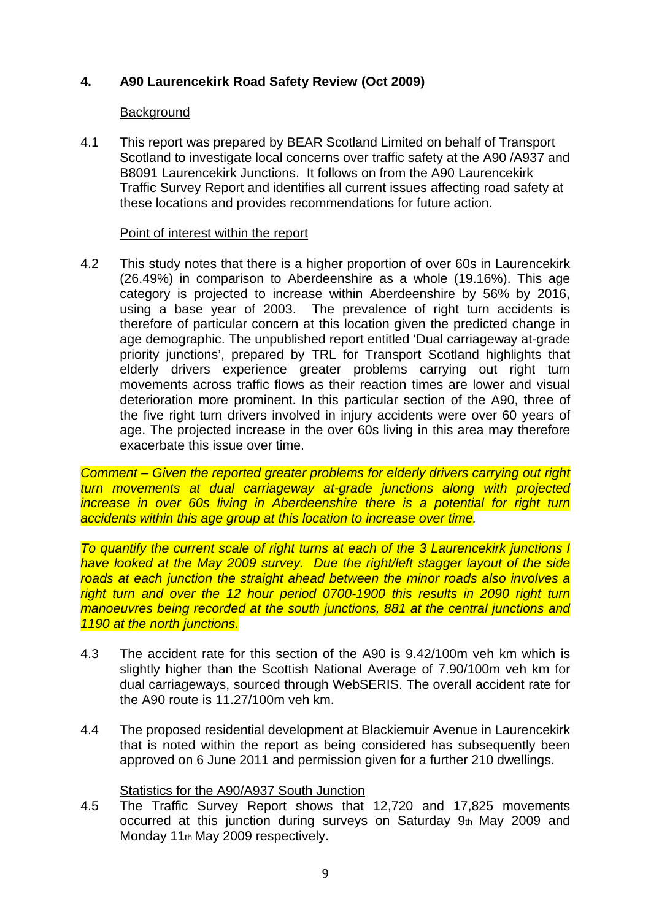# **4. A90 Laurencekirk Road Safety Review (Oct 2009)**

# **Background**

4.1 This report was prepared by BEAR Scotland Limited on behalf of Transport Scotland to investigate local concerns over traffic safety at the A90 /A937 and B8091 Laurencekirk Junctions. It follows on from the A90 Laurencekirk Traffic Survey Report and identifies all current issues affecting road safety at these locations and provides recommendations for future action.

# Point of interest within the report

4.2 This study notes that there is a higher proportion of over 60s in Laurencekirk (26.49%) in comparison to Aberdeenshire as a whole (19.16%). This age category is projected to increase within Aberdeenshire by 56% by 2016, using a base year of 2003. The prevalence of right turn accidents is therefore of particular concern at this location given the predicted change in age demographic. The unpublished report entitled 'Dual carriageway at-grade priority junctions', prepared by TRL for Transport Scotland highlights that elderly drivers experience greater problems carrying out right turn movements across traffic flows as their reaction times are lower and visual deterioration more prominent. In this particular section of the A90, three of the five right turn drivers involved in injury accidents were over 60 years of age. The projected increase in the over 60s living in this area may therefore exacerbate this issue over time.

*Comment – Given the reported greater problems for elderly drivers carrying out right turn movements at dual carriageway at-grade junctions along with projected increase in over 60s living in Aberdeenshire there is a potential for right turn accidents within this age group at this location to increase over time.* 

*To quantify the current scale of right turns at each of the 3 Laurencekirk junctions I have looked at the May 2009 survey. Due the right/left stagger layout of the side roads at each junction the straight ahead between the minor roads also involves a right turn and over the 12 hour period 0700-1900 this results in 2090 right turn manoeuvres being recorded at the south junctions, 881 at the central junctions and 1190 at the north junctions.*

- 4.3 The accident rate for this section of the A90 is 9.42/100m veh km which is slightly higher than the Scottish National Average of 7.90/100m veh km for dual carriageways, sourced through WebSERIS. The overall accident rate for the A90 route is 11.27/100m veh km.
- 4.4 The proposed residential development at Blackiemuir Avenue in Laurencekirk that is noted within the report as being considered has subsequently been approved on 6 June 2011 and permission given for a further 210 dwellings.

# Statistics for the A90/A937 South Junction

4.5 The Traffic Survey Report shows that 12,720 and 17,825 movements occurred at this junction during surveys on Saturday 9th May 2009 and Monday 11th May 2009 respectively.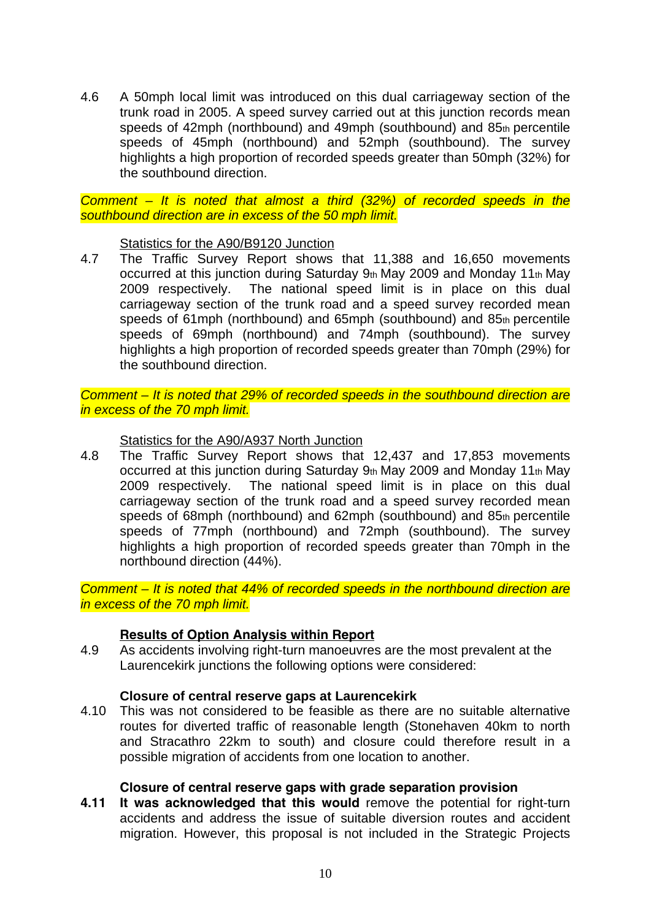4.6 A 50mph local limit was introduced on this dual carriageway section of the trunk road in 2005. A speed survey carried out at this junction records mean speeds of 42mph (northbound) and 49mph (southbound) and 85th percentile speeds of 45mph (northbound) and 52mph (southbound). The survey highlights a high proportion of recorded speeds greater than 50mph (32%) for the southbound direction.

*Comment – It is noted that almost a third (32%) of recorded speeds in the southbound direction are in excess of the 50 mph limit.*

Statistics for the A90/B9120 Junction

4.7 The Traffic Survey Report shows that 11,388 and 16,650 movements occurred at this junction during Saturday 9th May 2009 and Monday 11th May 2009 respectively. The national speed limit is in place on this dual carriageway section of the trunk road and a speed survey recorded mean speeds of 61mph (northbound) and 65mph (southbound) and 85th percentile speeds of 69mph (northbound) and 74mph (southbound). The survey highlights a high proportion of recorded speeds greater than 70mph (29%) for the southbound direction.

*Comment – It is noted that 29% of recorded speeds in the southbound direction are in excess of the 70 mph limit.*

Statistics for the A90/A937 North Junction

4.8 The Traffic Survey Report shows that 12,437 and 17,853 movements occurred at this junction during Saturday 9th May 2009 and Monday 11th May 2009 respectively. The national speed limit is in place on this dual carriageway section of the trunk road and a speed survey recorded mean speeds of 68mph (northbound) and 62mph (southbound) and 85th percentile speeds of 77mph (northbound) and 72mph (southbound). The survey highlights a high proportion of recorded speeds greater than 70mph in the northbound direction (44%).

*Comment – It is noted that 44% of recorded speeds in the northbound direction are in excess of the 70 mph limit.*

# **Results of Option Analysis within Report**

4.9 As accidents involving right-turn manoeuvres are the most prevalent at the Laurencekirk junctions the following options were considered:

#### **Closure of central reserve gaps at Laurencekirk**

4.10 This was not considered to be feasible as there are no suitable alternative routes for diverted traffic of reasonable length (Stonehaven 40km to north and Stracathro 22km to south) and closure could therefore result in a possible migration of accidents from one location to another.

# **Closure of central reserve gaps with grade separation provision**

**4.11 It was acknowledged that this would** remove the potential for right-turn accidents and address the issue of suitable diversion routes and accident migration. However, this proposal is not included in the Strategic Projects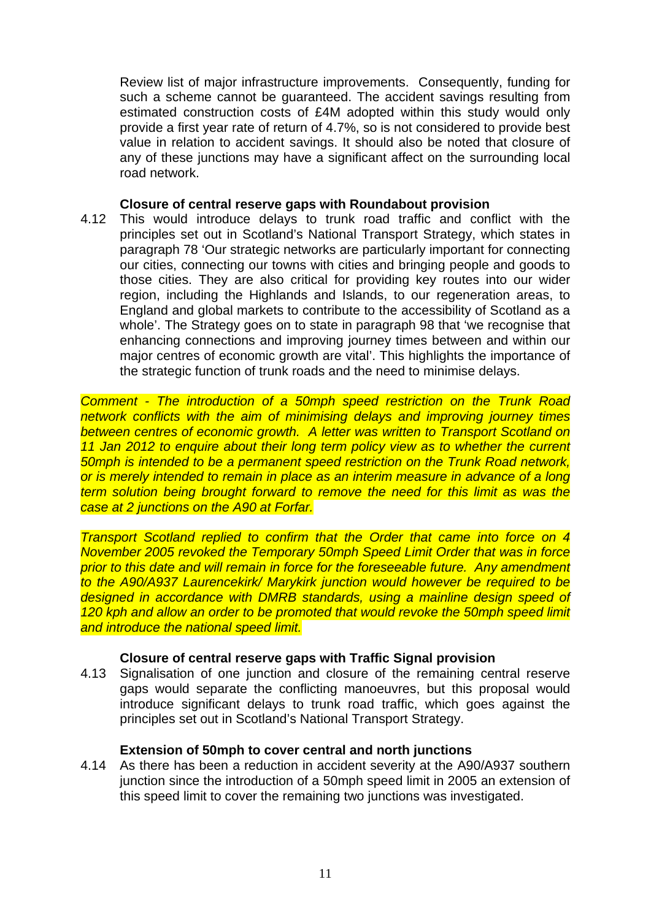Review list of major infrastructure improvements. Consequently, funding for such a scheme cannot be guaranteed. The accident savings resulting from estimated construction costs of £4M adopted within this study would only provide a first year rate of return of 4.7%, so is not considered to provide best value in relation to accident savings. It should also be noted that closure of any of these junctions may have a significant affect on the surrounding local road network.

#### **Closure of central reserve gaps with Roundabout provision**

4.12 This would introduce delays to trunk road traffic and conflict with the principles set out in Scotland's National Transport Strategy, which states in paragraph 78 'Our strategic networks are particularly important for connecting our cities, connecting our towns with cities and bringing people and goods to those cities. They are also critical for providing key routes into our wider region, including the Highlands and Islands, to our regeneration areas, to England and global markets to contribute to the accessibility of Scotland as a whole'. The Strategy goes on to state in paragraph 98 that 'we recognise that enhancing connections and improving journey times between and within our major centres of economic growth are vital'. This highlights the importance of the strategic function of trunk roads and the need to minimise delays.

*Comment - The introduction of a 50mph speed restriction on the Trunk Road network conflicts with the aim of minimising delays and improving journey times between centres of economic growth. A letter was written to Transport Scotland on 11 Jan 2012 to enquire about their long term policy view as to whether the current 50mph is intended to be a permanent speed restriction on the Trunk Road network, or is merely intended to remain in place as an interim measure in advance of a long term solution being brought forward to remove the need for this limit as was the case at 2 junctions on the A90 at Forfar.* 

*Transport Scotland replied to confirm that the Order that came into force on 4 November 2005 revoked the Temporary 50mph Speed Limit Order that was in force prior to this date and will remain in force for the foreseeable future. Any amendment to the A90/A937 Laurencekirk/ Marykirk junction would however be required to be designed in accordance with DMRB standards, using a mainline design speed of 120 kph and allow an order to be promoted that would revoke the 50mph speed limit and introduce the national speed limit.*

# **Closure of central reserve gaps with Traffic Signal provision**

4.13 Signalisation of one junction and closure of the remaining central reserve gaps would separate the conflicting manoeuvres, but this proposal would introduce significant delays to trunk road traffic, which goes against the principles set out in Scotland's National Transport Strategy.

# **Extension of 50mph to cover central and north junctions**

4.14 As there has been a reduction in accident severity at the A90/A937 southern junction since the introduction of a 50mph speed limit in 2005 an extension of this speed limit to cover the remaining two junctions was investigated.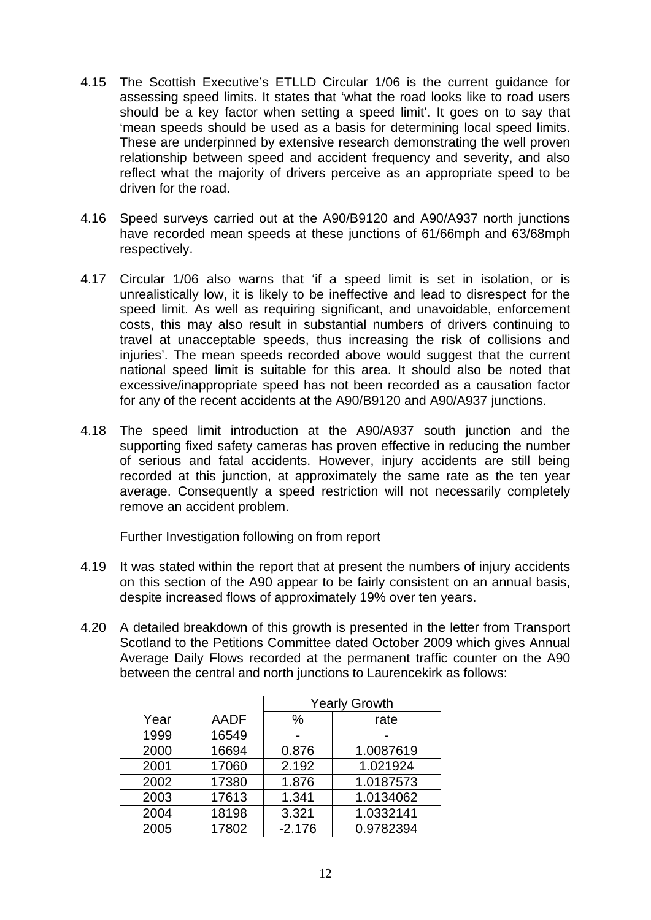- 4.15 The Scottish Executive's ETLLD Circular 1/06 is the current guidance for assessing speed limits. It states that 'what the road looks like to road users should be a key factor when setting a speed limit'. It goes on to say that 'mean speeds should be used as a basis for determining local speed limits. These are underpinned by extensive research demonstrating the well proven relationship between speed and accident frequency and severity, and also reflect what the majority of drivers perceive as an appropriate speed to be driven for the road.
- 4.16 Speed surveys carried out at the A90/B9120 and A90/A937 north junctions have recorded mean speeds at these junctions of 61/66mph and 63/68mph respectively.
- 4.17 Circular 1/06 also warns that 'if a speed limit is set in isolation, or is unrealistically low, it is likely to be ineffective and lead to disrespect for the speed limit. As well as requiring significant, and unavoidable, enforcement costs, this may also result in substantial numbers of drivers continuing to travel at unacceptable speeds, thus increasing the risk of collisions and injuries'. The mean speeds recorded above would suggest that the current national speed limit is suitable for this area. It should also be noted that excessive/inappropriate speed has not been recorded as a causation factor for any of the recent accidents at the A90/B9120 and A90/A937 junctions.
- 4.18 The speed limit introduction at the A90/A937 south junction and the supporting fixed safety cameras has proven effective in reducing the number of serious and fatal accidents. However, injury accidents are still being recorded at this junction, at approximately the same rate as the ten year average. Consequently a speed restriction will not necessarily completely remove an accident problem.

#### Further Investigation following on from report

- 4.19 It was stated within the report that at present the numbers of injury accidents on this section of the A90 appear to be fairly consistent on an annual basis, despite increased flows of approximately 19% over ten years.
- 4.20 A detailed breakdown of this growth is presented in the letter from Transport Scotland to the Petitions Committee dated October 2009 which gives Annual Average Daily Flows recorded at the permanent traffic counter on the A90 between the central and north junctions to Laurencekirk as follows:

|      |             | <b>Yearly Growth</b> |           |  |
|------|-------------|----------------------|-----------|--|
| Year | <b>AADF</b> | $\%$                 | rate      |  |
| 1999 | 16549       |                      |           |  |
| 2000 | 16694       | 0.876                | 1.0087619 |  |
| 2001 | 17060       | 2.192                | 1.021924  |  |
| 2002 | 17380       | 1.876                | 1.0187573 |  |
| 2003 | 17613       | 1.341                | 1.0134062 |  |
| 2004 | 18198       | 3.321                | 1.0332141 |  |
| 2005 | 17802       | $-2.176$             | 0.9782394 |  |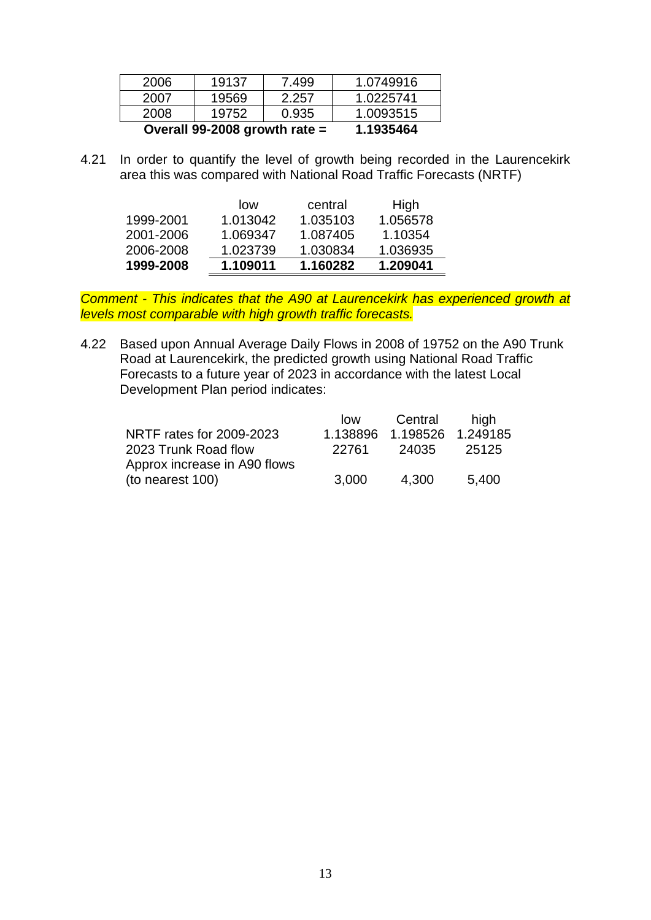| 2006 | 19137                           | 7.499     | 1.0749916 |
|------|---------------------------------|-----------|-----------|
| 2007 | 19569                           | 2.257     | 1.0225741 |
| 2008 | 19752                           | 0.935     | 1.0093515 |
|      | Overall 99-2008 growth rate $=$ | 1.1935464 |           |

4.21 In order to quantify the level of growth being recorded in the Laurencekirk area this was compared with National Road Traffic Forecasts (NRTF)

|           | low      | central  | High     |
|-----------|----------|----------|----------|
| 1999-2001 | 1.013042 | 1.035103 | 1.056578 |
| 2001-2006 | 1.069347 | 1.087405 | 1.10354  |
| 2006-2008 | 1.023739 | 1.030834 | 1.036935 |
| 1999-2008 | 1.109011 | 1.160282 | 1.209041 |

*Comment - This indicates that the A90 at Laurencekirk has experienced growth at levels most comparable with high growth traffic forecasts.*

4.22 Based upon Annual Average Daily Flows in 2008 of 19752 on the A90 Trunk Road at Laurencekirk, the predicted growth using National Road Traffic Forecasts to a future year of 2023 in accordance with the latest Local Development Plan period indicates:

|                              | low      | Central           | hiah  |
|------------------------------|----------|-------------------|-------|
| NRTF rates for 2009-2023     | 1.138896 | 1.198526 1.249185 |       |
| 2023 Trunk Road flow         | 22761    | 24035             | 25125 |
| Approx increase in A90 flows |          |                   |       |
| (to nearest 100)             | 3,000    | 4.300             | 5,400 |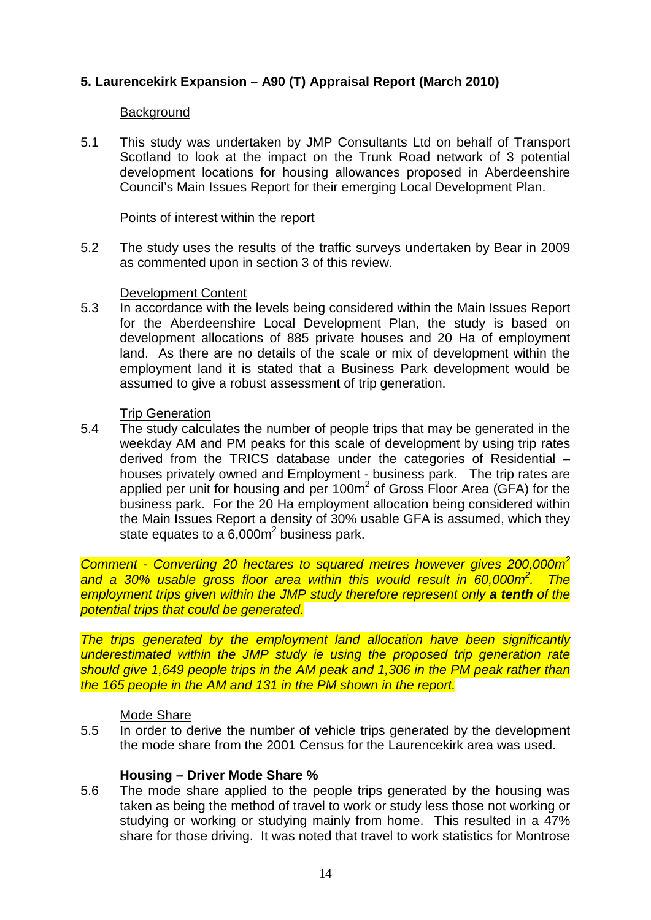# **5. Laurencekirk Expansion – A90 (T) Appraisal Report (March 2010)**

## **Background**

5.1 This study was undertaken by JMP Consultants Ltd on behalf of Transport Scotland to look at the impact on the Trunk Road network of 3 potential development locations for housing allowances proposed in Aberdeenshire Council's Main Issues Report for their emerging Local Development Plan.

#### Points of interest within the report

5.2 The study uses the results of the traffic surveys undertaken by Bear in 2009 as commented upon in section 3 of this review.

#### Development Content

5.3 In accordance with the levels being considered within the Main Issues Report for the Aberdeenshire Local Development Plan, the study is based on development allocations of 885 private houses and 20 Ha of employment land. As there are no details of the scale or mix of development within the employment land it is stated that a Business Park development would be assumed to give a robust assessment of trip generation.

### Trip Generation

5.4 The study calculates the number of people trips that may be generated in the weekday AM and PM peaks for this scale of development by using trip rates derived from the TRICS database under the categories of Residential – houses privately owned and Employment - business park. The trip rates are applied per unit for housing and per  $100<sup>m²</sup>$  of Gross Floor Area (GFA) for the business park. For the 20 Ha employment allocation being considered within the Main Issues Report a density of 30% usable GFA is assumed, which they state equates to a 6,000m<sup>2</sup> business park.

*Comment - Converting 20 hectares to squared metres however gives 200,000m2 and a 30% usable gross floor area within this would result in 60,000m2 . The employment trips given within the JMP study therefore represent only a tenth of the potential trips that could be generated.*

*The trips generated by the employment land allocation have been significantly underestimated within the JMP study ie using the proposed trip generation rate should give 1,649 people trips in the AM peak and 1,306 in the PM peak rather than the 165 people in the AM and 131 in the PM shown in the report.*

#### Mode Share

5.5 In order to derive the number of vehicle trips generated by the development the mode share from the 2001 Census for the Laurencekirk area was used.

# **Housing – Driver Mode Share %**

5.6 The mode share applied to the people trips generated by the housing was taken as being the method of travel to work or study less those not working or studying or working or studying mainly from home. This resulted in a 47% share for those driving. It was noted that travel to work statistics for Montrose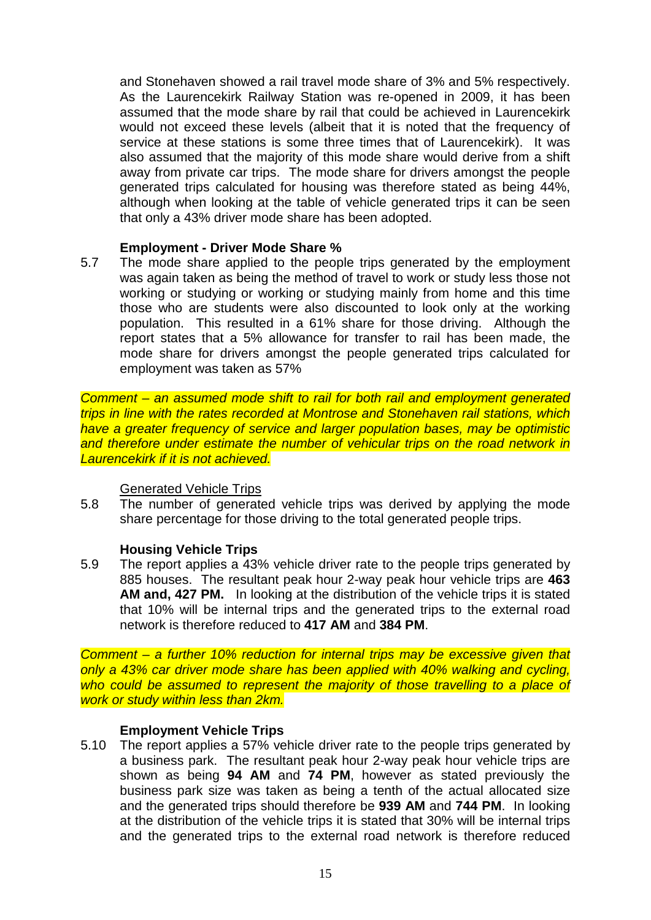and Stonehaven showed a rail travel mode share of 3% and 5% respectively. As the Laurencekirk Railway Station was re-opened in 2009, it has been assumed that the mode share by rail that could be achieved in Laurencekirk would not exceed these levels (albeit that it is noted that the frequency of service at these stations is some three times that of Laurencekirk). It was also assumed that the majority of this mode share would derive from a shift away from private car trips. The mode share for drivers amongst the people generated trips calculated for housing was therefore stated as being 44%, although when looking at the table of vehicle generated trips it can be seen that only a 43% driver mode share has been adopted.

# **Employment - Driver Mode Share %**

5.7 The mode share applied to the people trips generated by the employment was again taken as being the method of travel to work or study less those not working or studying or working or studying mainly from home and this time those who are students were also discounted to look only at the working population. This resulted in a 61% share for those driving. Although the report states that a 5% allowance for transfer to rail has been made, the mode share for drivers amongst the people generated trips calculated for employment was taken as 57%

*Comment – an assumed mode shift to rail for both rail and employment generated trips in line with the rates recorded at Montrose and Stonehaven rail stations, which have a greater frequency of service and larger population bases, may be optimistic*  and therefore under estimate the number of vehicular trips on the road network in *Laurencekirk if it is not achieved.*

# Generated Vehicle Trips

5.8 The number of generated vehicle trips was derived by applying the mode share percentage for those driving to the total generated people trips.

# **Housing Vehicle Trips**

5.9 The report applies a 43% vehicle driver rate to the people trips generated by 885 houses. The resultant peak hour 2-way peak hour vehicle trips are **463 AM and, 427 PM.** In looking at the distribution of the vehicle trips it is stated that 10% will be internal trips and the generated trips to the external road network is therefore reduced to **417 AM** and **384 PM**.

*Comment – a further 10% reduction for internal trips may be excessive given that only a 43% car driver mode share has been applied with 40% walking and cycling, who could be assumed to represent the majority of those travelling to a place of work or study within less than 2km.*

# **Employment Vehicle Trips**

5.10 The report applies a 57% vehicle driver rate to the people trips generated by a business park. The resultant peak hour 2-way peak hour vehicle trips are shown as being **94 AM** and **74 PM**, however as stated previously the business park size was taken as being a tenth of the actual allocated size and the generated trips should therefore be **939 AM** and **744 PM**. In looking at the distribution of the vehicle trips it is stated that 30% will be internal trips and the generated trips to the external road network is therefore reduced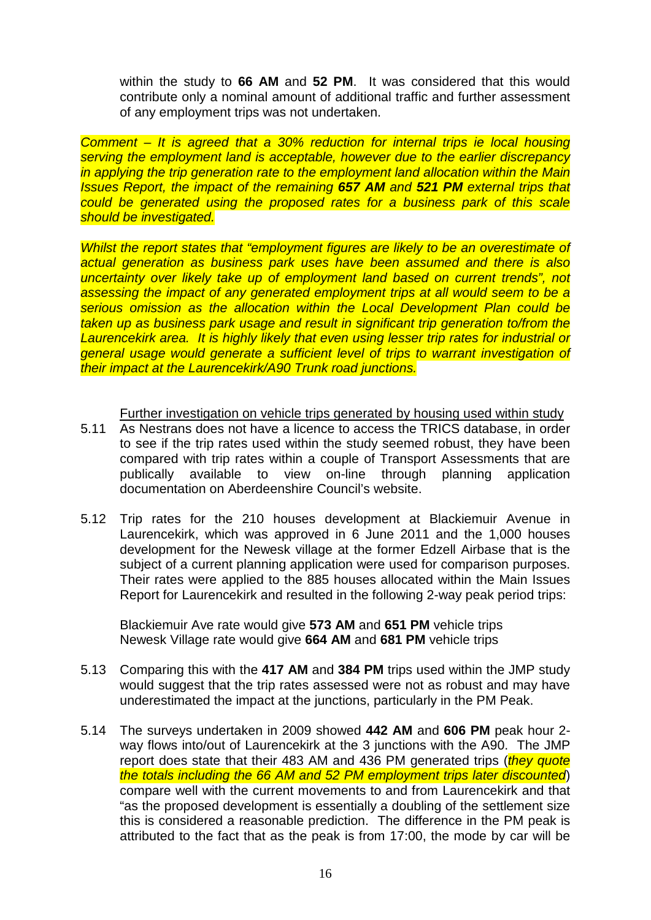within the study to **66 AM** and **52 PM**. It was considered that this would contribute only a nominal amount of additional traffic and further assessment of any employment trips was not undertaken.

*Comment – It is agreed that a 30% reduction for internal trips ie local housing serving the employment land is acceptable, however due to the earlier discrepancy in applying the trip generation rate to the employment land allocation within the Main Issues Report, the impact of the remaining 657 AM and 521 PM external trips that could be generated using the proposed rates for a business park of this scale should be investigated.*

*Whilst the report states that "employment figures are likely to be an overestimate of actual generation as business park uses have been assumed and there is also uncertainty over likely take up of employment land based on current trends", not assessing the impact of any generated employment trips at all would seem to be a serious omission as the allocation within the Local Development Plan could be taken up as business park usage and result in significant trip generation to/from the Laurencekirk area. It is highly likely that even using lesser trip rates for industrial or general usage would generate a sufficient level of trips to warrant investigation of their impact at the Laurencekirk/A90 Trunk road junctions.*

Further investigation on vehicle trips generated by housing used within study

- 5.11 As Nestrans does not have a licence to access the TRICS database, in order to see if the trip rates used within the study seemed robust, they have been compared with trip rates within a couple of Transport Assessments that are publically available to view on-line through planning application documentation on Aberdeenshire Council's website.
- 5.12 Trip rates for the 210 houses development at Blackiemuir Avenue in Laurencekirk, which was approved in 6 June 2011 and the 1,000 houses development for the Newesk village at the former Edzell Airbase that is the subject of a current planning application were used for comparison purposes. Their rates were applied to the 885 houses allocated within the Main Issues Report for Laurencekirk and resulted in the following 2-way peak period trips:

Blackiemuir Ave rate would give **573 AM** and **651 PM** vehicle trips Newesk Village rate would give **664 AM** and **681 PM** vehicle trips

- 5.13 Comparing this with the **417 AM** and **384 PM** trips used within the JMP study would suggest that the trip rates assessed were not as robust and may have underestimated the impact at the junctions, particularly in the PM Peak.
- 5.14 The surveys undertaken in 2009 showed **442 AM** and **606 PM** peak hour 2 way flows into/out of Laurencekirk at the 3 junctions with the A90. The JMP report does state that their 483 AM and 436 PM generated trips (*they quote the totals including the 66 AM and 52 PM employment trips later discounted*) compare well with the current movements to and from Laurencekirk and that "as the proposed development is essentially a doubling of the settlement size this is considered a reasonable prediction. The difference in the PM peak is attributed to the fact that as the peak is from 17:00, the mode by car will be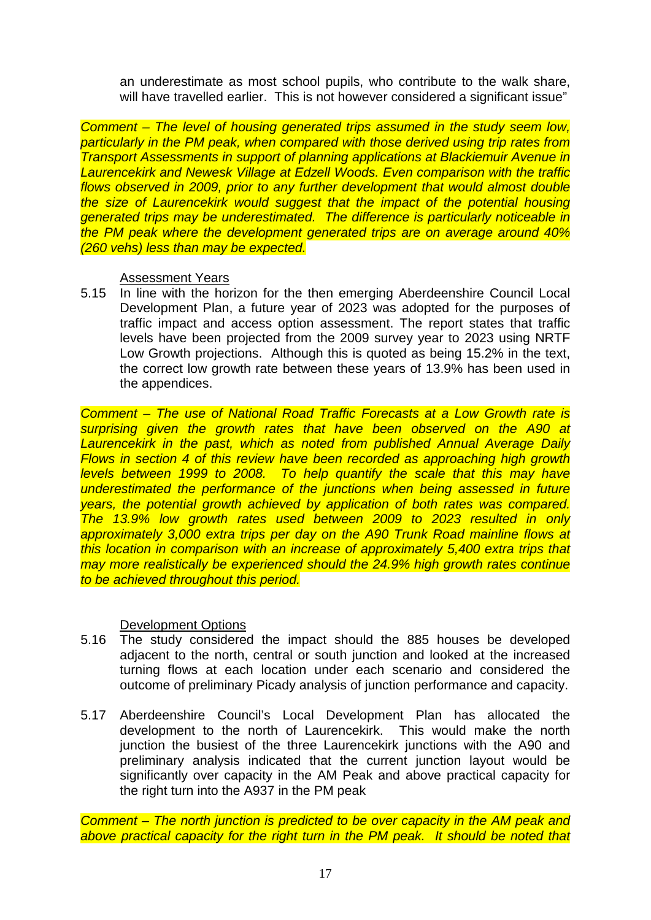an underestimate as most school pupils, who contribute to the walk share, will have travelled earlier. This is not however considered a significant issue"

*Comment – The level of housing generated trips assumed in the study seem low, particularly in the PM peak, when compared with those derived using trip rates from Transport Assessments in support of planning applications at Blackiemuir Avenue in*  **Laurencekirk and Newesk Village at Edzell Woods. Even comparison with the traffic** *flows observed in 2009, prior to any further development that would almost double the size of Laurencekirk would suggest that the impact of the potential housing generated trips may be underestimated. The difference is particularly noticeable in the PM peak where the development generated trips are on average around 40% (260 vehs) less than may be expected.*

Assessment Years

5.15 In line with the horizon for the then emerging Aberdeenshire Council Local Development Plan, a future year of 2023 was adopted for the purposes of traffic impact and access option assessment. The report states that traffic levels have been projected from the 2009 survey year to 2023 using NRTF Low Growth projections. Although this is quoted as being 15.2% in the text, the correct low growth rate between these years of 13.9% has been used in the appendices.

*Comment – The use of National Road Traffic Forecasts at a Low Growth rate is surprising given the growth rates that have been observed on the A90 at Laurencekirk in the past, which as noted from published Annual Average Daily Flows in section 4 of this review have been recorded as approaching high growth levels between 1999 to 2008. To help quantify the scale that this may have underestimated the performance of the junctions when being assessed in future years, the potential growth achieved by application of both rates was compared. The 13.9% low growth rates used between 2009 to 2023 resulted in only approximately 3,000 extra trips per day on the A90 Trunk Road mainline flows at this location in comparison with an increase of approximately 5,400 extra trips that may more realistically be experienced should the 24.9% high growth rates continue to be achieved throughout this period.*

# Development Options

- 5.16 The study considered the impact should the 885 houses be developed adjacent to the north, central or south junction and looked at the increased turning flows at each location under each scenario and considered the outcome of preliminary Picady analysis of junction performance and capacity.
- 5.17 Aberdeenshire Council's Local Development Plan has allocated the development to the north of Laurencekirk. This would make the north junction the busiest of the three Laurencekirk junctions with the A90 and preliminary analysis indicated that the current junction layout would be significantly over capacity in the AM Peak and above practical capacity for the right turn into the A937 in the PM peak

*Comment – The north junction is predicted to be over capacity in the AM peak and*  above practical capacity for the right turn in the PM peak. It should be noted that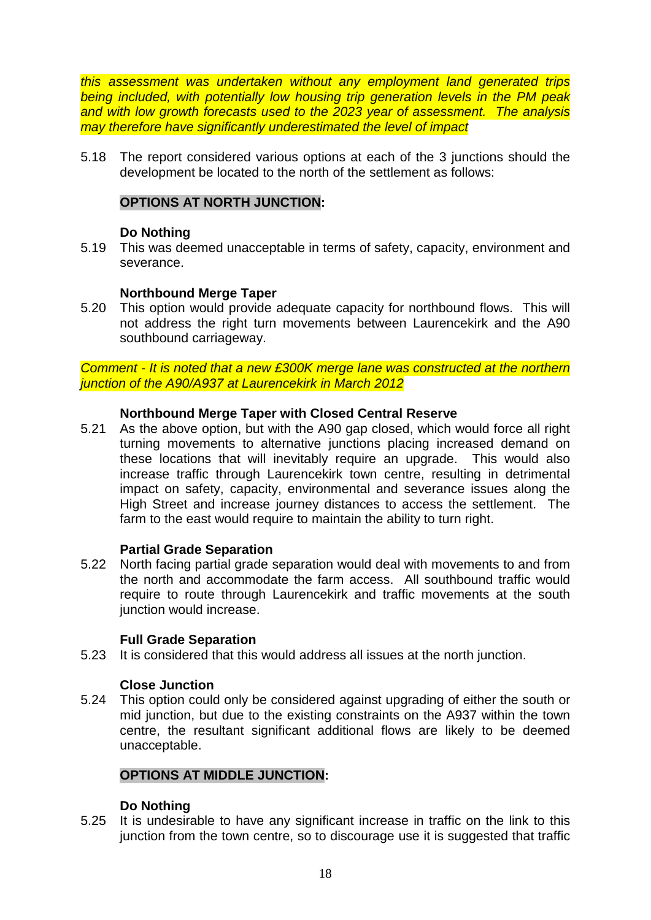*this assessment was undertaken without any employment land generated trips being included, with potentially low housing trip generation levels in the PM peak and with low growth forecasts used to the 2023 year of assessment. The analysis may therefore have significantly underestimated the level of impact*

5.18 The report considered various options at each of the 3 junctions should the development be located to the north of the settlement as follows:

# **OPTIONS AT NORTH JUNCTION:**

## **Do Nothing**

5.19 This was deemed unacceptable in terms of safety, capacity, environment and severance.

### **Northbound Merge Taper**

5.20 This option would provide adequate capacity for northbound flows. This will not address the right turn movements between Laurencekirk and the A90 southbound carriageway.

*Comment - It is noted that a new £300K merge lane was constructed at the northern junction of the A90/A937 at Laurencekirk in March 2012*

### **Northbound Merge Taper with Closed Central Reserve**

5.21 As the above option, but with the A90 gap closed, which would force all right turning movements to alternative junctions placing increased demand on these locations that will inevitably require an upgrade. This would also increase traffic through Laurencekirk town centre, resulting in detrimental impact on safety, capacity, environmental and severance issues along the High Street and increase journey distances to access the settlement. The farm to the east would require to maintain the ability to turn right.

#### **Partial Grade Separation**

5.22 North facing partial grade separation would deal with movements to and from the north and accommodate the farm access. All southbound traffic would require to route through Laurencekirk and traffic movements at the south junction would increase.

#### **Full Grade Separation**

5.23 It is considered that this would address all issues at the north junction.

#### **Close Junction**

5.24 This option could only be considered against upgrading of either the south or mid junction, but due to the existing constraints on the A937 within the town centre, the resultant significant additional flows are likely to be deemed unacceptable.

#### **OPTIONS AT MIDDLE JUNCTION:**

#### **Do Nothing**

5.25 It is undesirable to have any significant increase in traffic on the link to this junction from the town centre, so to discourage use it is suggested that traffic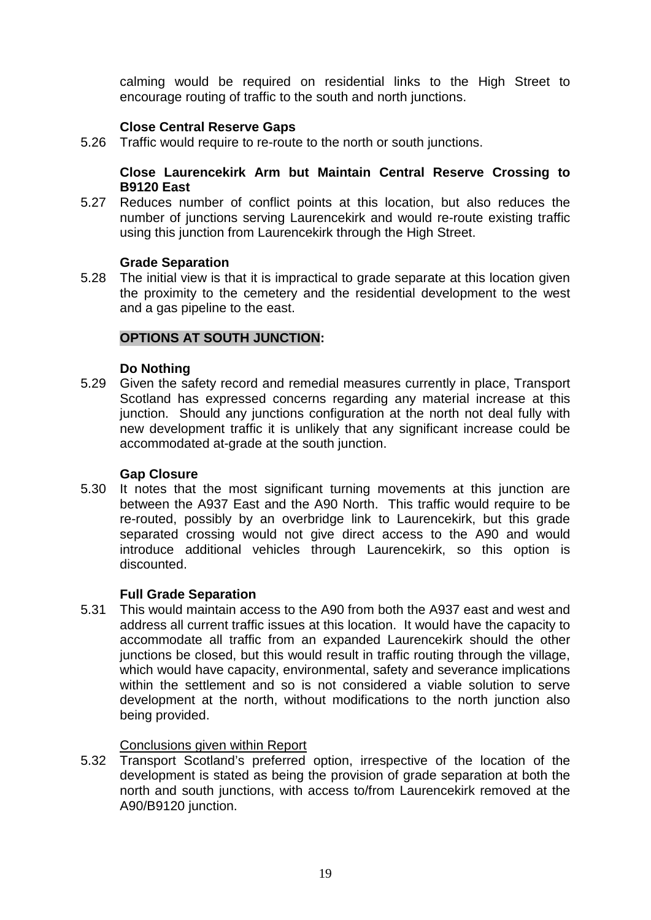calming would be required on residential links to the High Street to encourage routing of traffic to the south and north junctions.

# **Close Central Reserve Gaps**

5.26 Traffic would require to re-route to the north or south junctions.

## **Close Laurencekirk Arm but Maintain Central Reserve Crossing to B9120 East**

5.27 Reduces number of conflict points at this location, but also reduces the number of junctions serving Laurencekirk and would re-route existing traffic using this junction from Laurencekirk through the High Street.

### **Grade Separation**

5.28 The initial view is that it is impractical to grade separate at this location given the proximity to the cemetery and the residential development to the west and a gas pipeline to the east.

# **OPTIONS AT SOUTH JUNCTION:**

### **Do Nothing**

5.29 Given the safety record and remedial measures currently in place, Transport Scotland has expressed concerns regarding any material increase at this junction. Should any junctions configuration at the north not deal fully with new development traffic it is unlikely that any significant increase could be accommodated at-grade at the south junction.

# **Gap Closure**

5.30 It notes that the most significant turning movements at this junction are between the A937 East and the A90 North. This traffic would require to be re-routed, possibly by an overbridge link to Laurencekirk, but this grade separated crossing would not give direct access to the A90 and would introduce additional vehicles through Laurencekirk, so this option is discounted.

# **Full Grade Separation**

5.31 This would maintain access to the A90 from both the A937 east and west and address all current traffic issues at this location. It would have the capacity to accommodate all traffic from an expanded Laurencekirk should the other junctions be closed, but this would result in traffic routing through the village, which would have capacity, environmental, safety and severance implications within the settlement and so is not considered a viable solution to serve development at the north, without modifications to the north junction also being provided.

# Conclusions given within Report

5.32 Transport Scotland's preferred option, irrespective of the location of the development is stated as being the provision of grade separation at both the north and south junctions, with access to/from Laurencekirk removed at the A90/B9120 junction.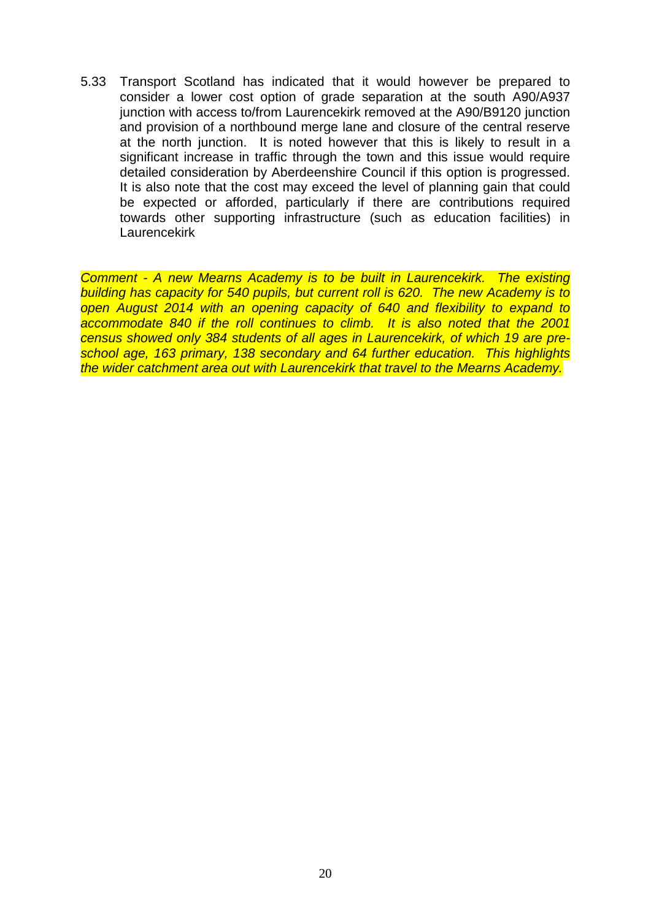5.33 Transport Scotland has indicated that it would however be prepared to consider a lower cost option of grade separation at the south A90/A937 junction with access to/from Laurencekirk removed at the A90/B9120 junction and provision of a northbound merge lane and closure of the central reserve at the north junction. It is noted however that this is likely to result in a significant increase in traffic through the town and this issue would require detailed consideration by Aberdeenshire Council if this option is progressed. It is also note that the cost may exceed the level of planning gain that could be expected or afforded, particularly if there are contributions required towards other supporting infrastructure (such as education facilities) in **Laurencekirk** 

*Comment - A new Mearns Academy is to be built in Laurencekirk. The existing building has capacity for 540 pupils, but current roll is 620. The new Academy is to open August 2014 with an opening capacity of 640 and flexibility to expand to*  accommodate 840 if the roll continues to climb. It is also noted that the 2001 *census showed only 384 students of all ages in Laurencekirk, of which 19 are preschool age, 163 primary, 138 secondary and 64 further education. This highlights the wider catchment area out with Laurencekirk that travel to the Mearns Academy.*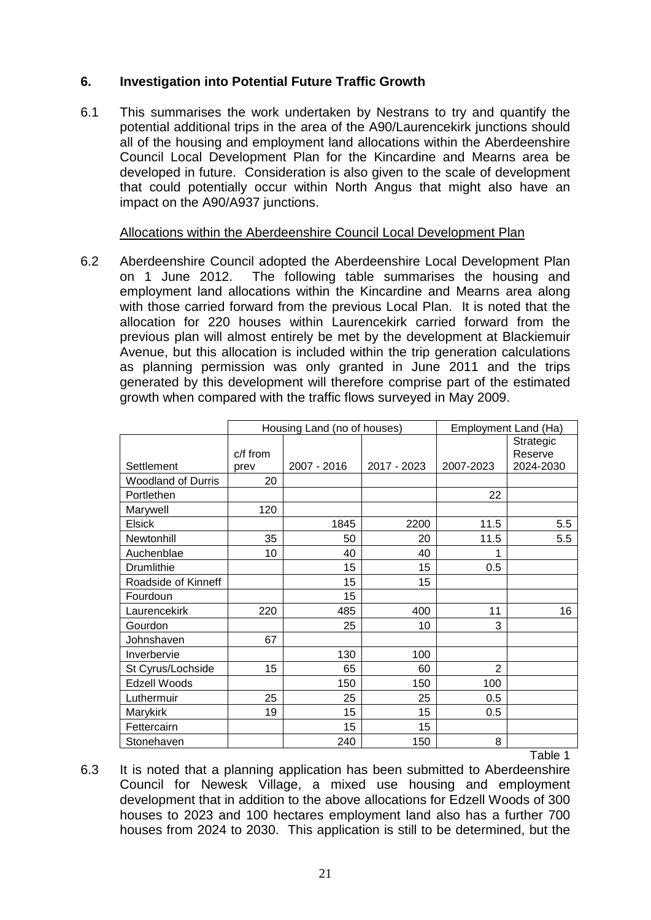# **6. Investigation into Potential Future Traffic Growth**

6.1 This summarises the work undertaken by Nestrans to try and quantify the potential additional trips in the area of the A90/Laurencekirk junctions should all of the housing and employment land allocations within the Aberdeenshire Council Local Development Plan for the Kincardine and Mearns area be developed in future. Consideration is also given to the scale of development that could potentially occur within North Angus that might also have an impact on the A90/A937 junctions.

## Allocations within the Aberdeenshire Council Local Development Plan

6.2 Aberdeenshire Council adopted the Aberdeenshire Local Development Plan on 1 June 2012. The following table summarises the housing and employment land allocations within the Kincardine and Mearns area along with those carried forward from the previous Local Plan. It is noted that the allocation for 220 houses within Laurencekirk carried forward from the previous plan will almost entirely be met by the development at Blackiemuir Avenue, but this allocation is included within the trip generation calculations as planning permission was only granted in June 2011 and the trips generated by this development will therefore comprise part of the estimated growth when compared with the traffic flows surveyed in May 2009.

|                           |                  | Housing Land (no of houses) |             |                | Employment Land (Ha)              |
|---------------------------|------------------|-----------------------------|-------------|----------------|-----------------------------------|
| Settlement                | c/f from<br>prev | 2007 - 2016                 | 2017 - 2023 | 2007-2023      | Strategic<br>Reserve<br>2024-2030 |
| <b>Woodland of Durris</b> | 20               |                             |             |                |                                   |
| Portlethen                |                  |                             |             | 22             |                                   |
| Marywell                  | 120              |                             |             |                |                                   |
| <b>Elsick</b>             |                  | 1845                        | 2200        | 11.5           | 5.5                               |
| Newtonhill                | 35               | 50                          | 20          | 11.5           | 5.5                               |
| Auchenblae                | 10               | 40                          | 40          | 1              |                                   |
| <b>Drumlithie</b>         |                  | 15                          | 15          | 0.5            |                                   |
| Roadside of Kinneff       |                  | 15                          | 15          |                |                                   |
| Fourdoun                  |                  | 15                          |             |                |                                   |
| Laurencekirk              | 220              | 485                         | 400         | 11             | 16                                |
| Gourdon                   |                  | 25                          | 10          | 3              |                                   |
| Johnshaven                | 67               |                             |             |                |                                   |
| Inverbervie               |                  | 130                         | 100         |                |                                   |
| St Cyrus/Lochside         | 15               | 65                          | 60          | $\overline{2}$ |                                   |
| Edzell Woods              |                  | 150                         | 150         | 100            |                                   |
| Luthermuir                | 25               | 25                          | 25          | 0.5            |                                   |
| Marykirk                  | 19               | 15                          | 15          | 0.5            |                                   |
| Fettercairn               |                  | 15                          | 15          |                |                                   |
| Stonehaven                |                  | 240                         | 150         | 8              |                                   |
|                           |                  |                             |             |                | Table 1                           |

6.3 It is noted that a planning application has been submitted to Aberdeenshire Council for Newesk Village, a mixed use housing and employment development that in addition to the above allocations for Edzell Woods of 300 houses to 2023 and 100 hectares employment land also has a further 700 houses from 2024 to 2030. This application is still to be determined, but the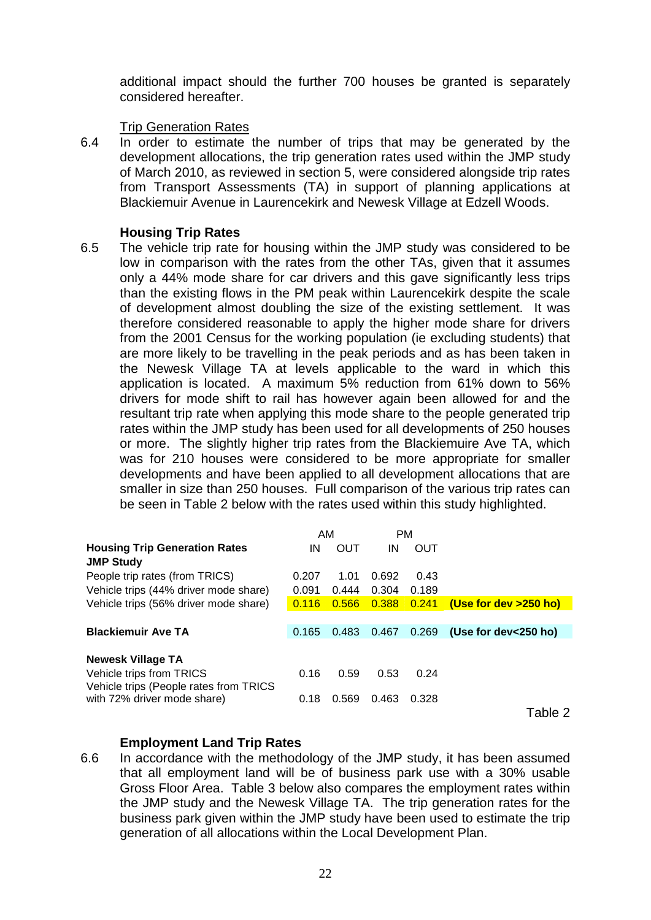additional impact should the further 700 houses be granted is separately considered hereafter.

## Trip Generation Rates

6.4 In order to estimate the number of trips that may be generated by the development allocations, the trip generation rates used within the JMP study of March 2010, as reviewed in section 5, were considered alongside trip rates from Transport Assessments (TA) in support of planning applications at Blackiemuir Avenue in Laurencekirk and Newesk Village at Edzell Woods.

### **Housing Trip Rates**

6.5 The vehicle trip rate for housing within the JMP study was considered to be low in comparison with the rates from the other TAs, given that it assumes only a 44% mode share for car drivers and this gave significantly less trips than the existing flows in the PM peak within Laurencekirk despite the scale of development almost doubling the size of the existing settlement. It was therefore considered reasonable to apply the higher mode share for drivers from the 2001 Census for the working population (ie excluding students) that are more likely to be travelling in the peak periods and as has been taken in the Newesk Village TA at levels applicable to the ward in which this application is located. A maximum 5% reduction from 61% down to 56% drivers for mode shift to rail has however again been allowed for and the resultant trip rate when applying this mode share to the people generated trip rates within the JMP study has been used for all developments of 250 houses or more. The slightly higher trip rates from the Blackiemuire Ave TA, which was for 210 houses were considered to be more appropriate for smaller developments and have been applied to all development allocations that are smaller in size than 250 houses. Full comparison of the various trip rates can be seen in Table 2 below with the rates used within this study highlighted.

|                                        | AM    |       | <b>PM</b> |       |                          |
|----------------------------------------|-------|-------|-----------|-------|--------------------------|
| <b>Housing Trip Generation Rates</b>   | ΙN    | OUT   | ΙN        | OUT   |                          |
| <b>JMP Study</b>                       |       |       |           |       |                          |
| People trip rates (from TRICS)         | 0.207 | 1.01  | 0.692     | 0.43  |                          |
| Vehicle trips (44% driver mode share)  | 0.091 | 0.444 | 0.304     | 0.189 |                          |
| Vehicle trips (56% driver mode share)  | 0.116 | 0.566 | 0.388     | 0.241 | (Use for dev >250 ho)    |
|                                        |       |       |           |       |                          |
| <b>Blackiemuir Ave TA</b>              | 0.165 | 0.483 | 0.467     | 0.269 | (Use for dev $<$ 250 ho) |
|                                        |       |       |           |       |                          |
| Newesk Village TA                      |       |       |           |       |                          |
| Vehicle trips from TRICS               | 0.16  | 0.59  | 0.53      | 0.24  |                          |
| Vehicle trips (People rates from TRICS |       |       |           |       |                          |
| with 72% driver mode share)            | 0.18  | 0.569 | 0.463     | 0.328 |                          |
|                                        |       |       |           |       | Table 2                  |

# **Employment Land Trip Rates**

6.6 In accordance with the methodology of the JMP study, it has been assumed that all employment land will be of business park use with a 30% usable Gross Floor Area. Table 3 below also compares the employment rates within the JMP study and the Newesk Village TA. The trip generation rates for the business park given within the JMP study have been used to estimate the trip generation of all allocations within the Local Development Plan.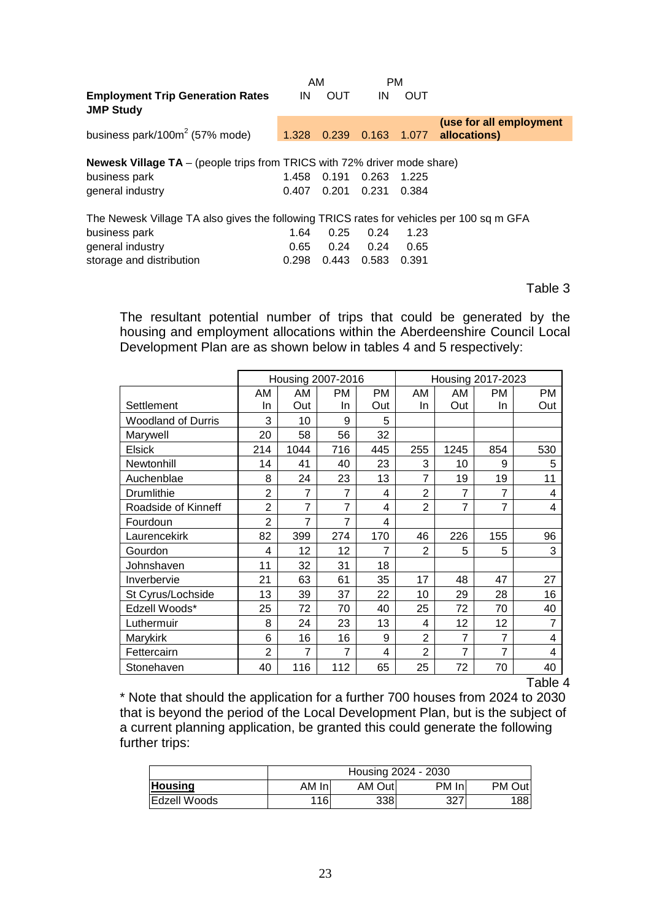|                                                                                          | AM    |            | <b>PM</b>   |       |                         |
|------------------------------------------------------------------------------------------|-------|------------|-------------|-------|-------------------------|
| <b>Employment Trip Generation Rates</b><br><b>JMP Study</b>                              | IN    | <b>OUT</b> | IN          | OUT   |                         |
|                                                                                          |       |            |             |       | (use for all employment |
| business park/100 $m2$ (57% mode)                                                        | 1.328 | 0.239      | 0.163 1.077 |       | allocations)            |
|                                                                                          |       |            |             |       |                         |
| <b>Newesk Village TA</b> – (people trips from TRICS with 72% driver mode share)          |       |            |             |       |                         |
| business park                                                                            | 1.458 | 0.191      | 0.263       | 1.225 |                         |
| general industry                                                                         | 0.407 | 0.201      | 0.231       | 0.384 |                         |
| The Newesk Village TA also gives the following TRICS rates for vehicles per 100 sq m GFA |       |            |             |       |                         |
| business park                                                                            | 1.64  | 0.25       | 0.24        | 1.23  |                         |
| general industry                                                                         | 0.65  | 0.24       | 0.24        | 0.65  |                         |
| storage and distribution                                                                 | 0.298 | 0.443      | 0.583       | 0.391 |                         |

Table 3

The resultant potential number of trips that could be generated by the housing and employment allocations within the Aberdeenshire Council Local Development Plan are as shown below in tables 4 and 5 respectively:

|                           |                | Housing 2007-2016 |                |     |                |                | Housing 2017-2023 |                |
|---------------------------|----------------|-------------------|----------------|-----|----------------|----------------|-------------------|----------------|
|                           | AM             | AM                | <b>PM</b>      | PM  | AM             | AM.            | <b>PM</b>         | РM             |
| Settlement                | In             | Out               | In             | Out | In             | Out            | In                | Out            |
| <b>Woodland of Durris</b> | 3              | 10                | 9              | 5   |                |                |                   |                |
| Marywell                  | 20             | 58                | 56             | 32  |                |                |                   |                |
| <b>Elsick</b>             | 214            | 1044              | 716            | 445 | 255            | 1245           | 854               | 530            |
| Newtonhill                | 14             | 41                | 40             | 23  | 3              | 10             | 9                 | 5              |
| Auchenblae                | 8              | 24                | 23             | 13  | 7              | 19             | 19                | 11             |
| Drumlithie                | $\overline{2}$ | $\overline{7}$    | $\overline{7}$ | 4   | $\overline{2}$ | 7              | 7                 | $\overline{4}$ |
| Roadside of Kinneff       | $\overline{2}$ | $\overline{7}$    | $\overline{7}$ | 4   | $\overline{2}$ | $\overline{7}$ | 7                 | 4              |
| Fourdoun                  | $\overline{2}$ | 7                 | 7              | 4   |                |                |                   |                |
| Laurencekirk              | 82             | 399               | 274            | 170 | 46             | 226            | 155               | 96             |
| Gourdon                   | 4              | 12                | 12             | 7   | $\overline{2}$ | 5              | 5                 | 3              |
| Johnshaven                | 11             | 32                | 31             | 18  |                |                |                   |                |
| Inverbervie               | 21             | 63                | 61             | 35  | 17             | 48             | 47                | 27             |
| St Cyrus/Lochside         | 13             | 39                | 37             | 22  | 10             | 29             | 28                | 16             |
| Edzell Woods*             | 25             | 72                | 70             | 40  | 25             | 72             | 70                | 40             |
| Luthermuir                | 8              | 24                | 23             | 13  | 4              | 12             | 12                | $\overline{7}$ |
| Marykirk                  | 6              | 16                | 16             | 9   | $\overline{2}$ | 7              | 7                 | 4              |
| Fettercairn               | $\overline{2}$ | 7                 | 7              | 4   | $\overline{2}$ | $\overline{7}$ | 7                 | 4              |
| Stonehaven                | 40             | 116               | 112            | 65  | 25             | 72             | 70                | 40             |

Table 4

\* Note that should the application for a further 700 houses from 2024 to 2030 that is beyond the period of the Local Development Plan, but is the subject of a current planning application, be granted this could generate the following further trips:

|                |        |         | Housing 2024 - 2030 |        |
|----------------|--------|---------|---------------------|--------|
| <b>Housing</b> | AM Inl | AM Outl | PM In               | PM Out |
| Edzell Woods   | 116    | 338     | 327                 | 188    |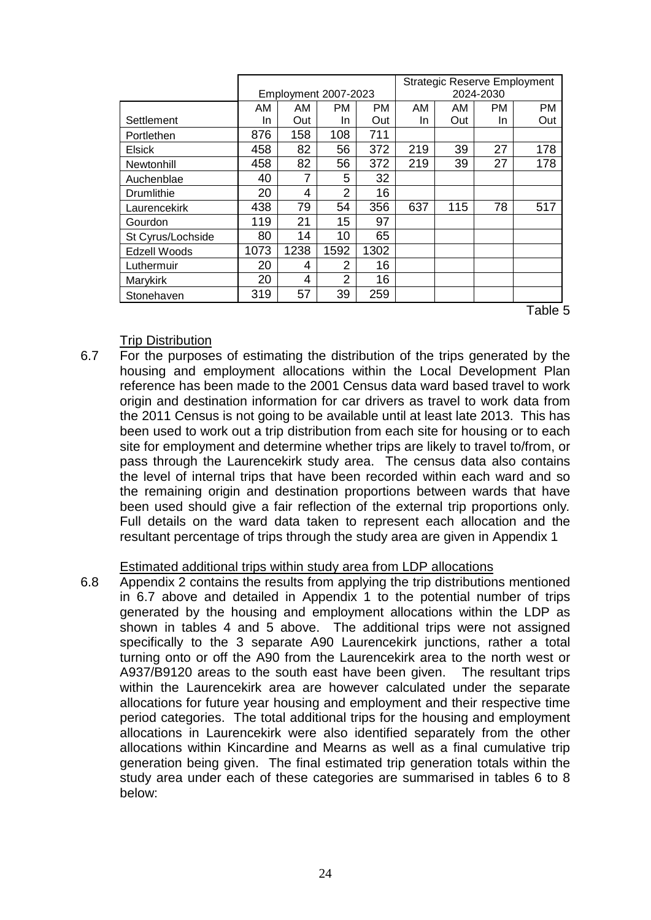|                   |      | <b>Strategic Reserve Employment</b><br>2024-2030<br>Employment 2007-2023 |                |      |     |     |           |     |
|-------------------|------|--------------------------------------------------------------------------|----------------|------|-----|-----|-----------|-----|
|                   | AM   | AM                                                                       | <b>PM</b>      | PM.  | AM  | AM  | <b>PM</b> | PM  |
| Settlement        | In   | Out                                                                      | In             | Out  | In. | Out | In.       | Out |
| Portlethen        | 876  | 158                                                                      | 108            | 711  |     |     |           |     |
| Elsick            | 458  | 82                                                                       | 56             | 372  | 219 | 39  | 27        | 178 |
| Newtonhill        | 458  | 82                                                                       | 56             | 372  | 219 | 39  | 27        | 178 |
| Auchenblae        | 40   | 7                                                                        | 5              | 32   |     |     |           |     |
| Drumlithie        | 20   | 4                                                                        | 2              | 16   |     |     |           |     |
| Laurencekirk      | 438  | 79                                                                       | 54             | 356  | 637 | 115 | 78        | 517 |
| Gourdon           | 119  | 21                                                                       | 15             | 97   |     |     |           |     |
| St Cyrus/Lochside | 80   | 14                                                                       | 10             | 65   |     |     |           |     |
| Edzell Woods      | 1073 | 1238                                                                     | 1592           | 1302 |     |     |           |     |
| Luthermuir        | 20   | 4                                                                        | 2              | 16   |     |     |           |     |
| Marykirk          | 20   | 4                                                                        | $\overline{2}$ | 16   |     |     |           |     |
| Stonehaven        | 319  | 57                                                                       | 39             | 259  |     |     |           |     |

Table 5

### Trip Distribution

6.7 For the purposes of estimating the distribution of the trips generated by the housing and employment allocations within the Local Development Plan reference has been made to the 2001 Census data ward based travel to work origin and destination information for car drivers as travel to work data from the 2011 Census is not going to be available until at least late 2013. This has been used to work out a trip distribution from each site for housing or to each site for employment and determine whether trips are likely to travel to/from, or pass through the Laurencekirk study area. The census data also contains the level of internal trips that have been recorded within each ward and so the remaining origin and destination proportions between wards that have been used should give a fair reflection of the external trip proportions only*.* Full details on the ward data taken to represent each allocation and the resultant percentage of trips through the study area are given in Appendix 1

# Estimated additional trips within study area from LDP allocations

6.8 Appendix 2 contains the results from applying the trip distributions mentioned in 6.7 above and detailed in Appendix 1 to the potential number of trips generated by the housing and employment allocations within the LDP as shown in tables 4 and 5 above. The additional trips were not assigned specifically to the 3 separate A90 Laurencekirk junctions, rather a total turning onto or off the A90 from the Laurencekirk area to the north west or A937/B9120 areas to the south east have been given. The resultant trips within the Laurencekirk area are however calculated under the separate allocations for future year housing and employment and their respective time period categories. The total additional trips for the housing and employment allocations in Laurencekirk were also identified separately from the other allocations within Kincardine and Mearns as well as a final cumulative trip generation being given. The final estimated trip generation totals within the study area under each of these categories are summarised in tables 6 to 8 below: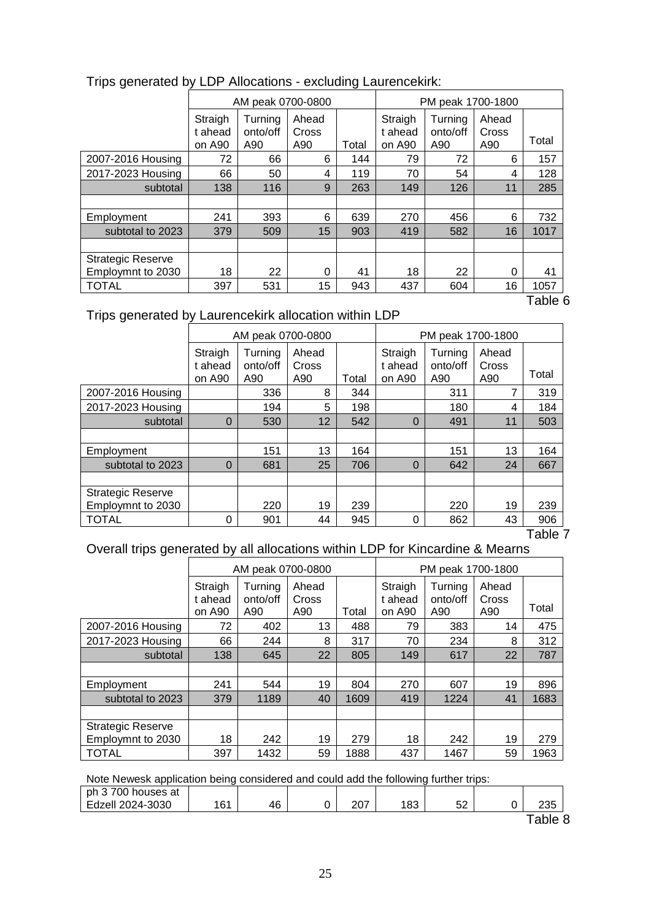|                          |                              | AM peak 0700-0800          |                       |       | PM peak 1700-1800            |                            |                       |       |
|--------------------------|------------------------------|----------------------------|-----------------------|-------|------------------------------|----------------------------|-----------------------|-------|
|                          | Straigh<br>t ahead<br>on A90 | Turning<br>onto/off<br>A90 | Ahead<br>Cross<br>A90 | Total | Straigh<br>t ahead<br>on A90 | Turning<br>onto/off<br>A90 | Ahead<br>Cross<br>A90 | Total |
| 2007-2016 Housing        | 72                           | 66                         | 6                     | 144   | 79                           | 72                         | 6                     | 157   |
| 2017-2023 Housing        | 66                           | 50                         | 4                     | 119   | 70                           | 54                         | 4                     | 128   |
| subtotal                 | 138                          | 116                        | 9                     | 263   | 149                          | 126                        | 11                    | 285   |
|                          |                              |                            |                       |       |                              |                            |                       |       |
| Employment               | 241                          | 393                        | 6                     | 639   | 270                          | 456                        | 6                     | 732   |
| subtotal to 2023         | 379                          | 509                        | 15                    | 903   | 419                          | 582                        | 16                    | 1017  |
|                          |                              |                            |                       |       |                              |                            |                       |       |
| <b>Strategic Reserve</b> |                              |                            |                       |       |                              |                            |                       |       |
| Employmnt to 2030        | 18                           | 22                         | 0                     | 41    | 18                           | 22                         | 0                     | 41    |
| <b>TOTAL</b>             | 397                          | 531                        | 15                    | 943   | 437                          | 604                        | 16                    | 1057  |

# Trips generated by LDP Allocations - excluding Laurencekirk:

Table 6

# Trips generated by Laurencekirk allocation within LDP

|                          |                              | AM peak 0700-0800          |                       |       |                              | PM peak 1700-1800          |                       |       |
|--------------------------|------------------------------|----------------------------|-----------------------|-------|------------------------------|----------------------------|-----------------------|-------|
|                          | Straigh<br>t ahead<br>on A90 | Turning<br>onto/off<br>A90 | Ahead<br>Cross<br>A90 | Total | Straigh<br>t ahead<br>on A90 | Turning<br>onto/off<br>A90 | Ahead<br>Cross<br>A90 | Total |
| 2007-2016 Housing        |                              | 336                        | 8                     | 344   |                              | 311                        | 7                     | 319   |
| 2017-2023 Housing        |                              | 194                        | 5                     | 198   |                              | 180                        | 4                     | 184   |
| subtotal                 | $\Omega$                     | 530                        | 12                    | 542   | $\Omega$                     | 491                        | 11                    | 503   |
|                          |                              |                            |                       |       |                              |                            |                       |       |
| Employment               |                              | 151                        | 13                    | 164   |                              | 151                        | 13                    | 164   |
| subtotal to 2023         | $\Omega$                     | 681                        | 25                    | 706   | $\Omega$                     | 642                        | 24                    | 667   |
|                          |                              |                            |                       |       |                              |                            |                       |       |
| <b>Strategic Reserve</b> |                              |                            |                       |       |                              |                            |                       |       |
| Employmnt to 2030        |                              | 220                        | 19                    | 239   |                              | 220                        | 19                    | 239   |
| <b>TOTAL</b>             | 0                            | 901                        | 44                    | 945   | 0                            | 862                        | 43                    | 906   |

Table 7

# Overall trips generated by all allocations within LDP for Kincardine & Mearns

|                          |                              | AM peak 0700-0800          |                       |       |                              |                            | PM peak 1700-1800     |       |  |
|--------------------------|------------------------------|----------------------------|-----------------------|-------|------------------------------|----------------------------|-----------------------|-------|--|
|                          | Straigh<br>t ahead<br>on A90 | Turnina<br>onto/off<br>A90 | Ahead<br>Cross<br>A90 | Total | Straigh<br>t ahead<br>on A90 | Turnina<br>onto/off<br>A90 | Ahead<br>Cross<br>A90 | Total |  |
| 2007-2016 Housing        | 72                           | 402                        | 13                    | 488   | 79                           | 383                        | 14                    | 475   |  |
| 2017-2023 Housing        | 66                           | 244                        | 8                     | 317   | 70                           | 234                        | 8                     | 312   |  |
| subtotal                 | 138                          | 645                        | 22                    | 805   | 149                          | 617                        | 22                    | 787   |  |
|                          |                              |                            |                       |       |                              |                            |                       |       |  |
| Employment               | 241                          | 544                        | 19                    | 804   | 270                          | 607                        | 19                    | 896   |  |
| subtotal to 2023         | 379                          | 1189                       | 40                    | 1609  | 419                          | 1224                       | 41                    | 1683  |  |
|                          |                              |                            |                       |       |                              |                            |                       |       |  |
| <b>Strategic Reserve</b> |                              |                            |                       |       |                              |                            |                       |       |  |
| Employmnt to 2030        | 18                           | 242                        | 19                    | 279   | 18                           | 242                        | 19                    | 279   |  |
| <b>TOTAL</b>             | 397                          | 1432                       | 59                    | 1888  | 437                          | 1467                       | 59                    | 1963  |  |

Note Newesk application being considered and could add the following further trips:

| $\sim$<br>-0<br>235<br>-3030<br>46<br>C <sub>1</sub><br>ററ<br>ב⊿פ∩י<br>Edzell<br>ا ب<br>ັບບ<br>ັ້<br>$\sim$ 1 | 700L<br>$\sim$<br>ph<br>houses at<br>'UU |  |  |  |  |
|---------------------------------------------------------------------------------------------------------------|------------------------------------------|--|--|--|--|
|                                                                                                               |                                          |  |  |  |  |

Table 8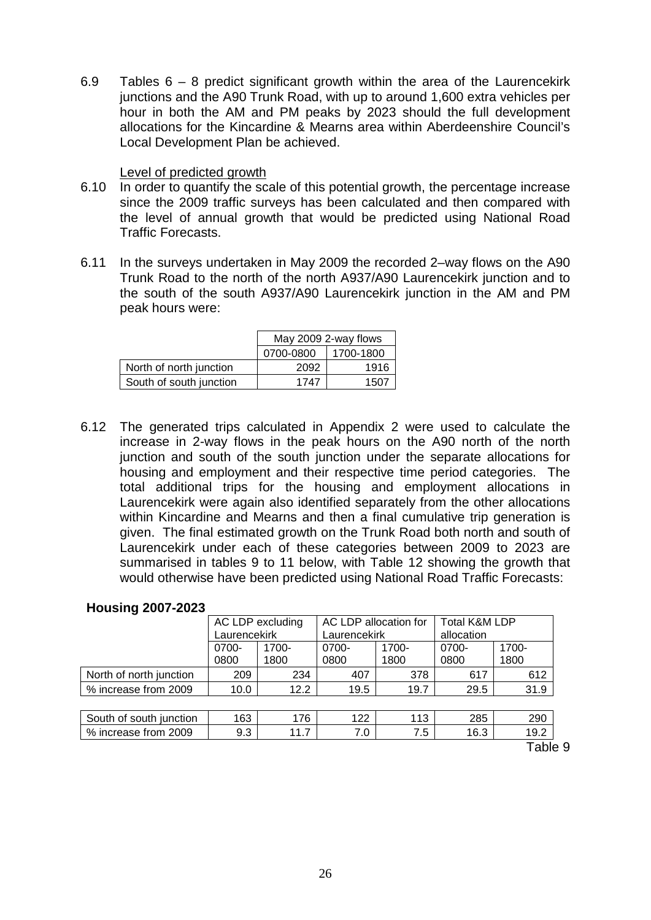6.9 Tables  $6 - 8$  predict significant growth within the area of the Laurencekirk junctions and the A90 Trunk Road, with up to around 1,600 extra vehicles per hour in both the AM and PM peaks by 2023 should the full development allocations for the Kincardine & Mearns area within Aberdeenshire Council's Local Development Plan be achieved.

### Level of predicted growth

- 6.10 In order to quantify the scale of this potential growth, the percentage increase since the 2009 traffic surveys has been calculated and then compared with the level of annual growth that would be predicted using National Road Traffic Forecasts.
- 6.11 In the surveys undertaken in May 2009 the recorded 2–way flows on the A90 Trunk Road to the north of the north A937/A90 Laurencekirk junction and to the south of the south A937/A90 Laurencekirk junction in the AM and PM peak hours were:

|                         | May 2009 2-way flows |           |  |  |
|-------------------------|----------------------|-----------|--|--|
|                         | 0700-0800            | 1700-1800 |  |  |
| North of north junction | 2092                 | 1916      |  |  |
| South of south junction | 1747                 | 1507      |  |  |

6.12 The generated trips calculated in Appendix 2 were used to calculate the increase in 2-way flows in the peak hours on the A90 north of the north junction and south of the south junction under the separate allocations for housing and employment and their respective time period categories. The total additional trips for the housing and employment allocations in Laurencekirk were again also identified separately from the other allocations within Kincardine and Mearns and then a final cumulative trip generation is given. The final estimated growth on the Trunk Road both north and south of Laurencekirk under each of these categories between 2009 to 2023 are summarised in tables 9 to 11 below, with Table 12 showing the growth that would otherwise have been predicted using National Road Traffic Forecasts:

| <b>Housing 2007-2023</b> |
|--------------------------|
|                          |

|                         | AC LDP excluding |               | AC LDP allocation for |               | <b>Total K&amp;M LDP</b> |               |
|-------------------------|------------------|---------------|-----------------------|---------------|--------------------------|---------------|
|                         |                  | Laurencekirk  |                       | Laurencekirk  |                          |               |
|                         | 0700-<br>0800    | 1700-<br>1800 | 0700-<br>0800         | 1700-<br>1800 | 0700-<br>0800            | 1700-<br>1800 |
| North of north junction | 209              | 234           | 407                   | 378           | 617                      | 612           |
| % increase from 2009    | 10.0             | 12.2          | 19.5                  | 19.7          | 29.5                     | 31.9          |
|                         |                  |               |                       |               |                          |               |
| South of south junction | 163              | 176           | 122                   | 113           | 285                      | 290           |
| % increase from 2009    | 9.3              | 11.7          | 7.0                   | 7.5           | 16.3                     | 19.2          |
|                         |                  |               |                       |               |                          | Table 9       |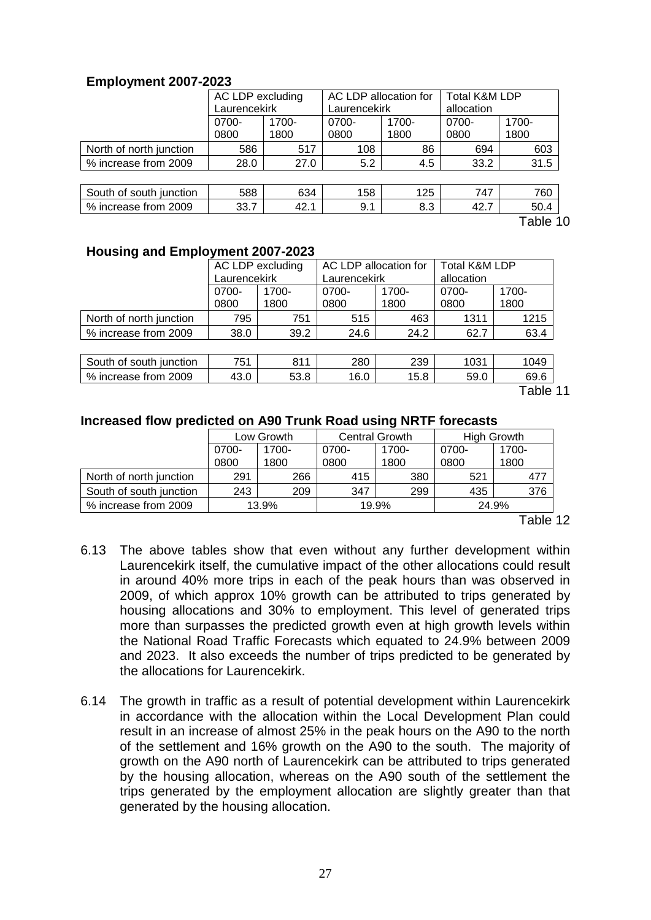# **Employment 2007-2023**

|                         | AC LDP excluding |       | AC LDP allocation for |       | <b>Total K&amp;M LDP</b> |        |  |
|-------------------------|------------------|-------|-----------------------|-------|--------------------------|--------|--|
|                         | Laurencekirk     |       | Laurencekirk          |       | allocation               |        |  |
|                         | 0700-            | 1700- | 0700-                 | 1700- | 0700-                    | 1700-  |  |
|                         | 0800             | 1800  | 0800                  | 1800  | 0800                     | 1800   |  |
| North of north junction | 586              | 517   | 108                   | 86    | 694                      | 603    |  |
| % increase from 2009    | 28.0             | 27.0  | 5.2                   | 4.5   | 33.2                     | 31.5   |  |
|                         |                  |       |                       |       |                          |        |  |
| South of south junction | 588              | 634   | 158                   | 125   | 747                      | 760    |  |
| % increase from 2009    | 33.7             | 42.1  | 9.1                   | 8.3   | 42.7                     | 50.4   |  |
|                         |                  |       |                       |       |                          | 1 Ahle |  |

Table 10

## **Housing and Employment 2007-2023**

|                         | AC LDP excluding |       | AC LDP allocation for |          | <b>Total K&amp;M LDP</b> |       |  |
|-------------------------|------------------|-------|-----------------------|----------|--------------------------|-------|--|
|                         | Laurencekirk     |       | Laurencekirk          |          | allocation               |       |  |
|                         | 0700-            | 1700- | 0700-                 | $1700 -$ | 0700-                    | 1700- |  |
|                         | 0800             | 1800  | 0800                  | 1800     | 0800                     | 1800  |  |
| North of north junction | 795              | 751   | 515                   | 463      | 1311                     | 1215  |  |
| % increase from 2009    | 38.0             | 39.2  | 24.6                  | 24.2     | 62.7                     | 63.4  |  |
|                         |                  |       |                       |          |                          |       |  |
| South of south junction | 751              | 811   | 280                   | 239      | 1031                     | 1049  |  |
| % increase from 2009    | 43.0             | 53.8  | 16.0                  | 15.8     | 59.0                     | 69.6  |  |
| T                       |                  |       |                       |          |                          |       |  |

Table 11

#### **Increased flow predicted on A90 Trunk Road using NRTF forecasts**

|                         | Low Growth     |      | <b>Central Growth</b> |       | <b>High Growth</b> |       |  |
|-------------------------|----------------|------|-----------------------|-------|--------------------|-------|--|
|                         | 0700-<br>1700- |      | 0700-                 | 1700- | 0700-              | 1700- |  |
|                         | 0800           | 1800 | 0800                  | 1800  | 0800               | 1800  |  |
| North of north junction | 291            | 266  | 415                   | 380   | 521                | 477   |  |
| South of south junction | 243            | 209  | 347                   | 299   | 435                | 376   |  |
| % increase from 2009    | 13.9%          |      |                       | 19.9% | 24.9%              |       |  |

Table 12

- 6.13 The above tables show that even without any further development within Laurencekirk itself, the cumulative impact of the other allocations could result in around 40% more trips in each of the peak hours than was observed in 2009, of which approx 10% growth can be attributed to trips generated by housing allocations and 30% to employment. This level of generated trips more than surpasses the predicted growth even at high growth levels within the National Road Traffic Forecasts which equated to 24.9% between 2009 and 2023. It also exceeds the number of trips predicted to be generated by the allocations for Laurencekirk.
- 6.14 The growth in traffic as a result of potential development within Laurencekirk in accordance with the allocation within the Local Development Plan could result in an increase of almost 25% in the peak hours on the A90 to the north of the settlement and 16% growth on the A90 to the south. The majority of growth on the A90 north of Laurencekirk can be attributed to trips generated by the housing allocation, whereas on the A90 south of the settlement the trips generated by the employment allocation are slightly greater than that generated by the housing allocation.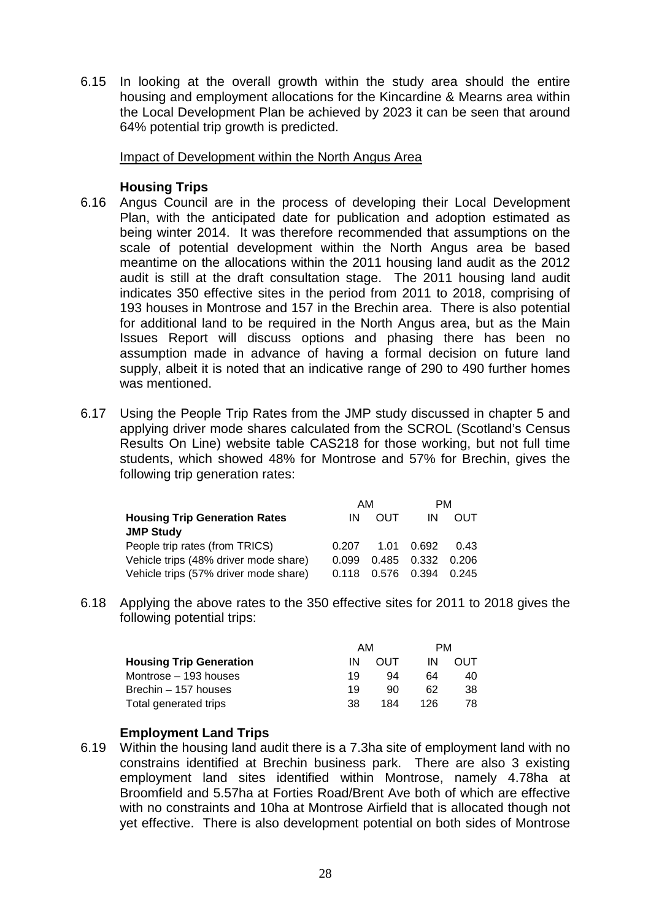6.15 In looking at the overall growth within the study area should the entire housing and employment allocations for the Kincardine & Mearns area within the Local Development Plan be achieved by 2023 it can be seen that around 64% potential trip growth is predicted.

Impact of Development within the North Angus Area

# **Housing Trips**

- 6.16 Angus Council are in the process of developing their Local Development Plan, with the anticipated date for publication and adoption estimated as being winter 2014. It was therefore recommended that assumptions on the scale of potential development within the North Angus area be based meantime on the allocations within the 2011 housing land audit as the 2012 audit is still at the draft consultation stage. The 2011 housing land audit indicates 350 effective sites in the period from 2011 to 2018, comprising of 193 houses in Montrose and 157 in the Brechin area. There is also potential for additional land to be required in the North Angus area, but as the Main Issues Report will discuss options and phasing there has been no assumption made in advance of having a formal decision on future land supply, albeit it is noted that an indicative range of 290 to 490 further homes was mentioned.
- 6.17 Using the People Trip Rates from the JMP study discussed in chapter 5 and applying driver mode shares calculated from the SCROL (Scotland's Census Results On Line) website table CAS218 for those working, but not full time students, which showed 48% for Montrose and 57% for Brechin, gives the following trip generation rates:

|                                       | AM    |            | <b>PM</b>         |            |
|---------------------------------------|-------|------------|-------------------|------------|
| <b>Housing Trip Generation Rates</b>  | IN    | <b>OUT</b> | IN                | <b>OUT</b> |
| <b>JMP Study</b>                      |       |            |                   |            |
| People trip rates (from TRICS)        | 0.207 |            | 1.01  0.692       | 0.43       |
| Vehicle trips (48% driver mode share) | 0.099 |            | 0.485 0.332 0.206 |            |
| Vehicle trips (57% driver mode share) | 0.118 |            | 0.576 0.394       | 0.245      |

6.18 Applying the above rates to the 350 effective sites for 2011 to 2018 gives the following potential trips:

|                                | AМ |     |     | PМ  |
|--------------------------------|----|-----|-----|-----|
| <b>Housing Trip Generation</b> | ΙN | OUT | ΙN  | OUT |
| Montrose – 193 houses          | 19 | 94  | 64  | 40  |
| Brechin – 157 houses           | 19 | 90  | 62  | 38  |
| Total generated trips          | 38 | 184 | 126 | 78  |

# **Employment Land Trips**

6.19 Within the housing land audit there is a 7.3ha site of employment land with no constrains identified at Brechin business park. There are also 3 existing employment land sites identified within Montrose, namely 4.78ha at Broomfield and 5.57ha at Forties Road/Brent Ave both of which are effective with no constraints and 10ha at Montrose Airfield that is allocated though not yet effective. There is also development potential on both sides of Montrose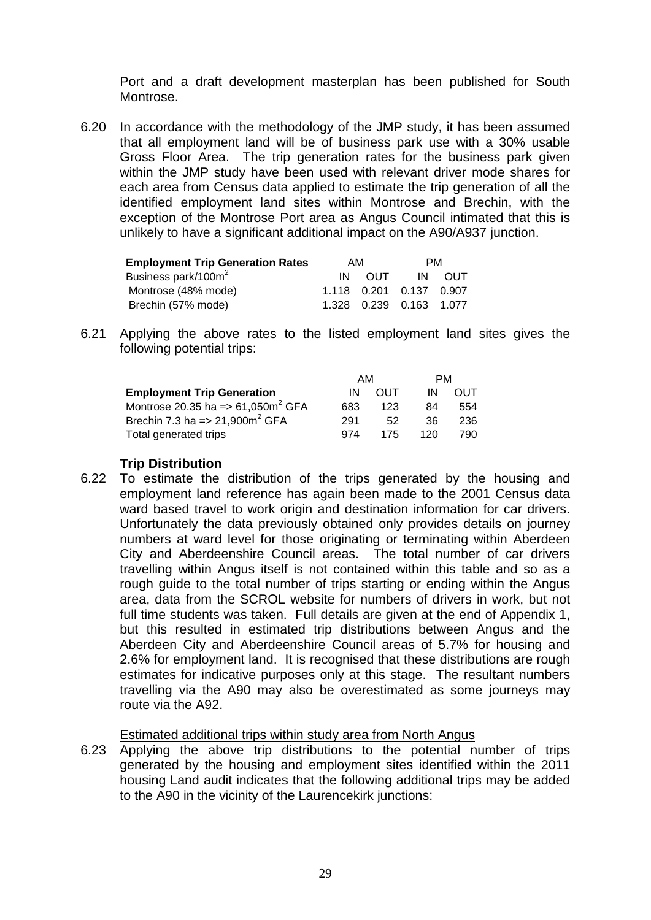Port and a draft development masterplan has been published for South Montrose.

6.20 In accordance with the methodology of the JMP study, it has been assumed that all employment land will be of business park use with a 30% usable Gross Floor Area. The trip generation rates for the business park given within the JMP study have been used with relevant driver mode shares for each area from Census data applied to estimate the trip generation of all the identified employment land sites within Montrose and Brechin, with the exception of the Montrose Port area as Angus Council intimated that this is unlikely to have a significant additional impact on the A90/A937 junction.

| <b>Employment Trip Generation Rates</b> | AM  |                            | PM. |            |  |
|-----------------------------------------|-----|----------------------------|-----|------------|--|
| Business park/100m <sup>2</sup>         | IN. | <b>OUT</b>                 | IN. | <b>OUT</b> |  |
| Montrose (48% mode)                     |     | 1.118  0.201  0.137  0.907 |     |            |  |
| Brechin (57% mode)                      |     | 1.328  0.239  0.163  1.077 |     |            |  |

6.21 Applying the above rates to the listed employment land sites gives the following potential trips:

|                                       | AM  |            | PM  |     |
|---------------------------------------|-----|------------|-----|-----|
| <b>Employment Trip Generation</b>     | IN  | <b>OUT</b> | IN  | OUT |
| Montrose 20.35 ha => 61,050 $m^2$ GFA | 683 | 123        | 84  | 554 |
| Brechin 7.3 ha = $> 21,900m^2$ GFA    | 291 | 52         | 36. | 236 |
| Total generated trips                 | 974 | 175        | 120 | 790 |

# **Trip Distribution**

6.22 To estimate the distribution of the trips generated by the housing and employment land reference has again been made to the 2001 Census data ward based travel to work origin and destination information for car drivers. Unfortunately the data previously obtained only provides details on journey numbers at ward level for those originating or terminating within Aberdeen City and Aberdeenshire Council areas. The total number of car drivers travelling within Angus itself is not contained within this table and so as a rough guide to the total number of trips starting or ending within the Angus area, data from the SCROL website for numbers of drivers in work, but not full time students was taken. Full details are given at the end of Appendix 1, but this resulted in estimated trip distributions between Angus and the Aberdeen City and Aberdeenshire Council areas of 5.7% for housing and 2.6% for employment land. It is recognised that these distributions are rough estimates for indicative purposes only at this stage. The resultant numbers travelling via the A90 may also be overestimated as some journeys may route via the A92.

# Estimated additional trips within study area from North Angus

6.23 Applying the above trip distributions to the potential number of trips generated by the housing and employment sites identified within the 2011 housing Land audit indicates that the following additional trips may be added to the A90 in the vicinity of the Laurencekirk junctions: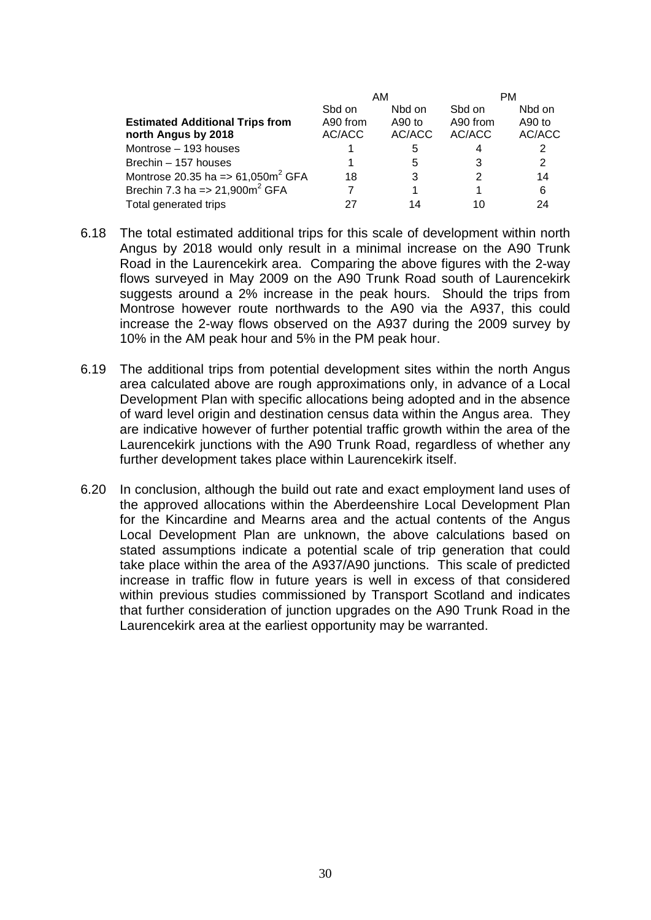|                                                |          | AM       | PМ       |        |  |
|------------------------------------------------|----------|----------|----------|--------|--|
|                                                | Sbd on   | Nbd on   | Sbd on   | Nbd on |  |
| <b>Estimated Additional Trips from</b>         | A90 from | $A90$ to | A90 from | A90 to |  |
| north Angus by 2018                            | AC/ACC   | AC/ACC   | AC/ACC   | AC/ACC |  |
| Montrose - 193 houses                          |          | 5        | 4        | 2      |  |
| Brechin - 157 houses                           |          | 5        | 3        | 2      |  |
| Montrose 20.35 ha => $61,050m^2$ GFA           | 18       | 3        |          | 14     |  |
| Brechin 7.3 ha = $> 21,900$ m <sup>2</sup> GFA |          |          |          | 6      |  |
| Total generated trips                          |          | 14       | 10       | 24     |  |

- 6.18 The total estimated additional trips for this scale of development within north Angus by 2018 would only result in a minimal increase on the A90 Trunk Road in the Laurencekirk area. Comparing the above figures with the 2-way flows surveyed in May 2009 on the A90 Trunk Road south of Laurencekirk suggests around a 2% increase in the peak hours. Should the trips from Montrose however route northwards to the A90 via the A937, this could increase the 2-way flows observed on the A937 during the 2009 survey by 10% in the AM peak hour and 5% in the PM peak hour.
- 6.19 The additional trips from potential development sites within the north Angus area calculated above are rough approximations only, in advance of a Local Development Plan with specific allocations being adopted and in the absence of ward level origin and destination census data within the Angus area. They are indicative however of further potential traffic growth within the area of the Laurencekirk junctions with the A90 Trunk Road, regardless of whether any further development takes place within Laurencekirk itself.
- 6.20 In conclusion, although the build out rate and exact employment land uses of the approved allocations within the Aberdeenshire Local Development Plan for the Kincardine and Mearns area and the actual contents of the Angus Local Development Plan are unknown, the above calculations based on stated assumptions indicate a potential scale of trip generation that could take place within the area of the A937/A90 junctions. This scale of predicted increase in traffic flow in future years is well in excess of that considered within previous studies commissioned by Transport Scotland and indicates that further consideration of junction upgrades on the A90 Trunk Road in the Laurencekirk area at the earliest opportunity may be warranted.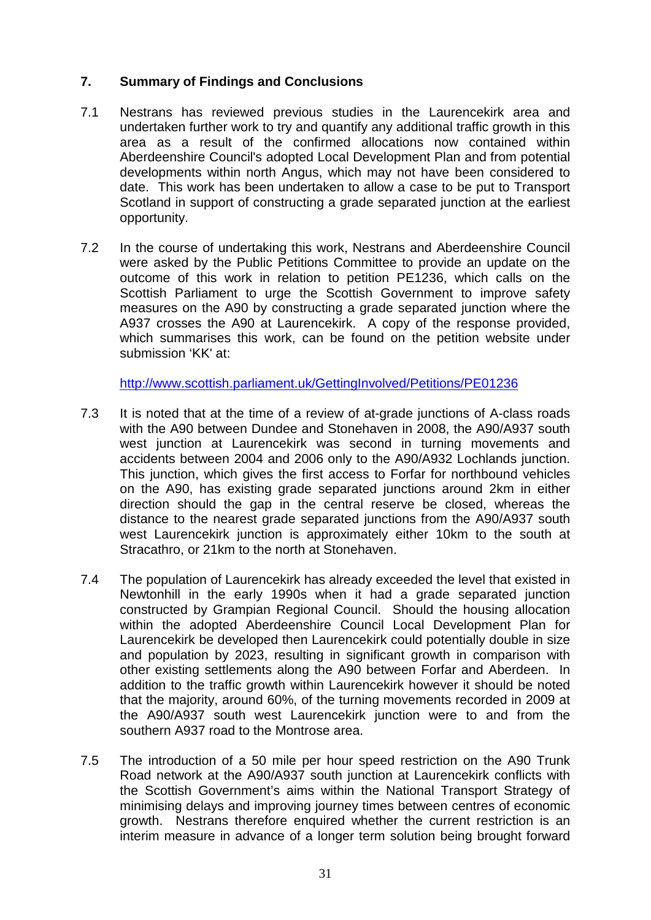# **7. Summary of Findings and Conclusions**

- 7.1 Nestrans has reviewed previous studies in the Laurencekirk area and undertaken further work to try and quantify any additional traffic growth in this area as a result of the confirmed allocations now contained within Aberdeenshire Council's adopted Local Development Plan and from potential developments within north Angus, which may not have been considered to date. This work has been undertaken to allow a case to be put to Transport Scotland in support of constructing a grade separated junction at the earliest opportunity.
- 7.2 In the course of undertaking this work, Nestrans and Aberdeenshire Council were asked by the Public Petitions Committee to provide an update on the outcome of this work in relation to petition PE1236, which calls on the Scottish Parliament to urge the Scottish Government to improve safety measures on the A90 by constructing a grade separated junction where the A937 crosses the A90 at Laurencekirk. A copy of the response provided, which summarises this work, can be found on the petition website under submission 'KK' at:

<http://www.scottish.parliament.uk/GettingInvolved/Petitions/PE01236>

- 7.3 It is noted that at the time of a review of at-grade junctions of A-class roads with the A90 between Dundee and Stonehaven in 2008, the A90/A937 south west junction at Laurencekirk was second in turning movements and accidents between 2004 and 2006 only to the A90/A932 Lochlands junction. This junction, which gives the first access to Forfar for northbound vehicles on the A90, has existing grade separated junctions around 2km in either direction should the gap in the central reserve be closed, whereas the distance to the nearest grade separated junctions from the A90/A937 south west Laurencekirk junction is approximately either 10km to the south at Stracathro, or 21km to the north at Stonehaven.
- 7.4 The population of Laurencekirk has already exceeded the level that existed in Newtonhill in the early 1990s when it had a grade separated junction constructed by Grampian Regional Council. Should the housing allocation within the adopted Aberdeenshire Council Local Development Plan for Laurencekirk be developed then Laurencekirk could potentially double in size and population by 2023, resulting in significant growth in comparison with other existing settlements along the A90 between Forfar and Aberdeen. In addition to the traffic growth within Laurencekirk however it should be noted that the majority, around 60%, of the turning movements recorded in 2009 at the A90/A937 south west Laurencekirk junction were to and from the southern A937 road to the Montrose area.
- 7.5 The introduction of a 50 mile per hour speed restriction on the A90 Trunk Road network at the A90/A937 south junction at Laurencekirk conflicts with the Scottish Government's aims within the National Transport Strategy of minimising delays and improving journey times between centres of economic growth. Nestrans therefore enquired whether the current restriction is an interim measure in advance of a longer term solution being brought forward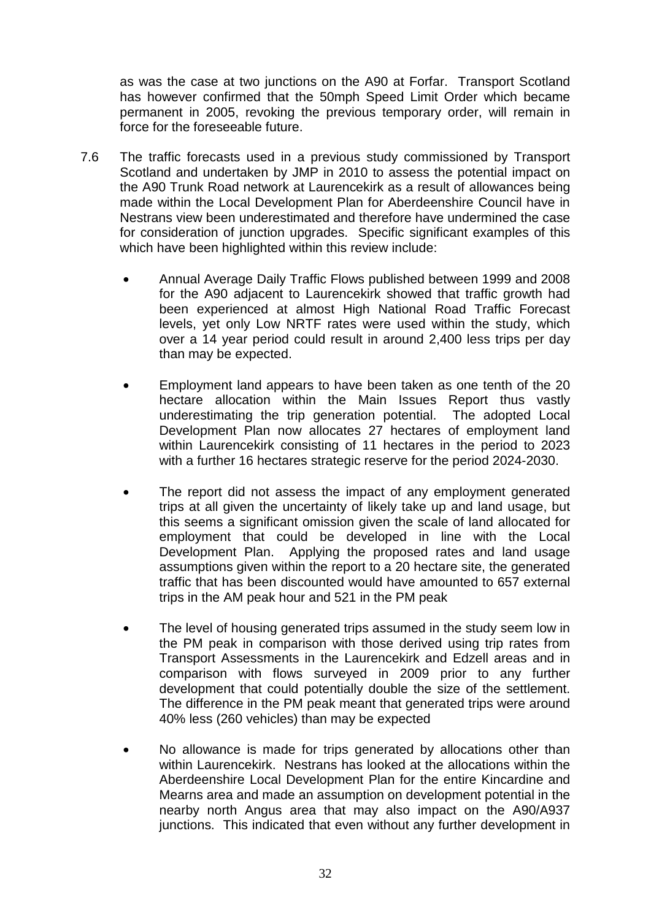as was the case at two junctions on the A90 at Forfar. Transport Scotland has however confirmed that the 50mph Speed Limit Order which became permanent in 2005, revoking the previous temporary order, will remain in force for the foreseeable future.

- 7.6 The traffic forecasts used in a previous study commissioned by Transport Scotland and undertaken by JMP in 2010 to assess the potential impact on the A90 Trunk Road network at Laurencekirk as a result of allowances being made within the Local Development Plan for Aberdeenshire Council have in Nestrans view been underestimated and therefore have undermined the case for consideration of junction upgrades. Specific significant examples of this which have been highlighted within this review include:
	- Annual Average Daily Traffic Flows published between 1999 and 2008 for the A90 adjacent to Laurencekirk showed that traffic growth had been experienced at almost High National Road Traffic Forecast levels, yet only Low NRTF rates were used within the study, which over a 14 year period could result in around 2,400 less trips per day than may be expected.
	- Employment land appears to have been taken as one tenth of the 20 hectare allocation within the Main Issues Report thus vastly underestimating the trip generation potential. The adopted Local Development Plan now allocates 27 hectares of employment land within Laurencekirk consisting of 11 hectares in the period to 2023 with a further 16 hectares strategic reserve for the period 2024-2030.
	- The report did not assess the impact of any employment generated trips at all given the uncertainty of likely take up and land usage, but this seems a significant omission given the scale of land allocated for employment that could be developed in line with the Local Development Plan. Applying the proposed rates and land usage assumptions given within the report to a 20 hectare site, the generated traffic that has been discounted would have amounted to 657 external trips in the AM peak hour and 521 in the PM peak
	- The level of housing generated trips assumed in the study seem low in the PM peak in comparison with those derived using trip rates from Transport Assessments in the Laurencekirk and Edzell areas and in comparison with flows surveyed in 2009 prior to any further development that could potentially double the size of the settlement. The difference in the PM peak meant that generated trips were around 40% less (260 vehicles) than may be expected
	- No allowance is made for trips generated by allocations other than within Laurencekirk. Nestrans has looked at the allocations within the Aberdeenshire Local Development Plan for the entire Kincardine and Mearns area and made an assumption on development potential in the nearby north Angus area that may also impact on the A90/A937 junctions. This indicated that even without any further development in